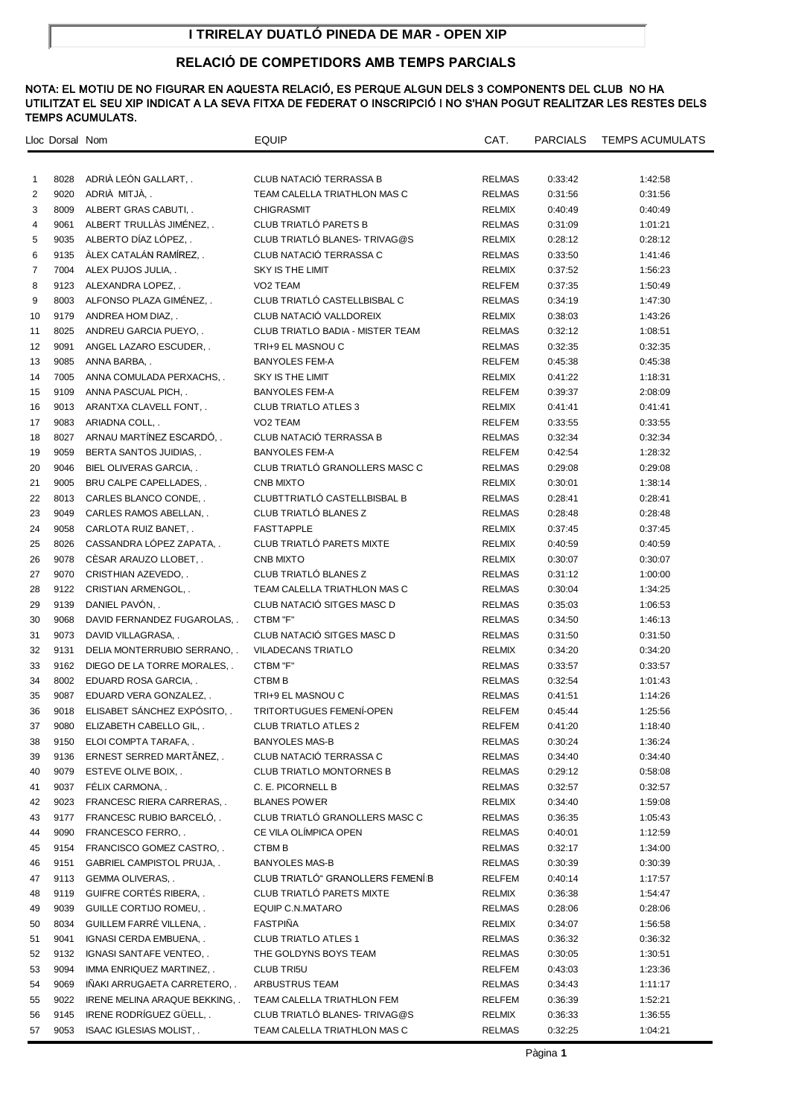# **I TRIRELAY DUATLÓ PINEDA DE MAR - OPEN XIP**

# **RELACIÓ DE COMPETIDORS AMB TEMPS PARCIALS**

|                | Lloc Dorsal Nom |                                                  | EQUIP                                            | CAT.             | <b>PARCIALS</b>    | <b>TEMPS ACUMULATS</b> |
|----------------|-----------------|--------------------------------------------------|--------------------------------------------------|------------------|--------------------|------------------------|
|                |                 |                                                  |                                                  |                  |                    |                        |
| $\mathbf{1}$   | 8028            | ADRIÀ LEÓN GALLART, .                            | CLUB NATACIÓ TERRASSA B                          | <b>RELMAS</b>    | 0:33:42            | 1:42:58                |
| $\overline{2}$ | 9020            | ADRIÀ MITJÀ, .                                   | TEAM CALELLA TRIATHLON MAS C                     | <b>RELMAS</b>    | 0:31:56            | 0:31:56                |
| 3              | 8009            | ALBERT GRAS CABUTI, .                            | <b>CHIGRASMIT</b>                                | <b>RELMIX</b>    | 0:40:49            | 0:40:49                |
| 4              | 9061            | ALBERT TRULLAS JIMÉNEZ,                          | CLUB TRIATLÓ PARETS B                            | <b>RELMAS</b>    | 0:31:09            | 1:01:21                |
| 5              | 9035            | ALBERTO DÍAZ LÓPEZ,.                             | CLUB TRIATLÓ BLANES-TRIVAG@S                     | <b>RELMIX</b>    | 0:28:12            | 0:28:12                |
| 6              | 9135            | ÀLEX CATALÀN RAMÍREZ,                            | CLUB NATACIÓ TERRASSA C                          | <b>RELMAS</b>    | 0:33:50            | 1:41:46                |
| $\overline{7}$ | 7004            | ALEX PUJOS JULIA                                 | <b>SKY IS THE LIMIT</b>                          | <b>RELMIX</b>    | 0:37:52            | 1:56:23                |
| 8              | 9123            | ALEXANDRA LOPEZ                                  | VO <sub>2</sub> TEAM                             | <b>RELFEM</b>    | 0:37:35            | 1:50:49                |
| 9              | 8003            | ALFONSO PLAZA GIMÉNEZ                            | CLUB TRIATLÓ CASTELLBISBAL C                     | <b>RELMAS</b>    | 0:34:19            | 1:47:30                |
| 10             | 9179            | ANDREA HOM DIAZ                                  | CLUB NATACIÓ VALLDOREIX                          | RELMIX           | 0:38:03            | 1:43:26                |
| 11             | 8025            | ANDREU GARCIA PUEYO, .                           | <b>CLUB TRIATLO BADIA - MISTER TEAM</b>          | <b>RELMAS</b>    | 0:32:12            | 1:08:51                |
| 12             | 9091            | ANGEL LAZARO ESCUDER, .                          | TRI+9 EL MASNOU C                                | <b>RELMAS</b>    | 0:32:35            | 0:32:35                |
| 13             | 9085            | ANNA BARBA, .                                    | <b>BANYOLES FEM-A</b>                            | <b>RELFEM</b>    | 0:45:38            | 0:45:38                |
| 14             | 7005            | ANNA COMULADA PERXACHS, .                        | SKY IS THE LIMIT                                 | <b>RELMIX</b>    | 0:41:22            | 1:18:31                |
| 15             | 9109            | ANNA PASCUAL PICH, .                             | <b>BANYOLES FEM-A</b>                            | <b>RELFEM</b>    | 0:39:37            | 2:08:09                |
| 16             | 9013            | ARANTXA CLAVELL FONT, .                          | <b>CLUB TRIATLO ATLES 3</b>                      | <b>RELMIX</b>    | 0:41:41            | 0:41:41                |
| 17             | 9083            | ARIADNA COLL, .                                  | VO <sub>2</sub> TEAM                             | <b>RELFEM</b>    | 0:33:55            | 0:33:55                |
| 18             | 8027            | ARNAU MARTÍNEZ ESCARDÓ,                          | CLUB NATACIÓ TERRASSA B                          | <b>RELMAS</b>    | 0:32:34            | 0:32:34                |
| 19             | 9059            | BERTA SANTOS JUIDIAS, .                          | <b>BANYOLES FEM-A</b>                            | RELFEM           | 0:42:54            | 1:28:32                |
| 20             | 9046            | BIEL OLIVERAS GARCIA, .                          | CLUB TRIATLÓ GRANOLLERS MASC C                   | <b>RELMAS</b>    | 0:29:08            | 0:29:08                |
| 21             | 9005            | BRU CALPE CAPELLADES, .                          | <b>CNB MIXTO</b>                                 | RELMIX           | 0:30:01            | 1:38:14                |
| 22             | 8013            | CARLES BLANCO CONDE, .                           | CLUBTTRIATLÓ CASTELLBISBAL B                     | <b>RELMAS</b>    | 0:28:41            | 0:28:41                |
| 23             | 9049            | CARLES RAMOS ABELLAN, .                          | CLUB TRIATLÓ BLANES Z                            | <b>RELMAS</b>    | 0:28:48            | 0:28:48                |
| 24             | 9058            | CARLOTA RUIZ BANET, .                            | <b>FASTTAPPLE</b>                                | <b>RELMIX</b>    | 0:37:45            | 0:37:45                |
| 25             | 8026            | CASSANDRA LÓPEZ ZAPATA,                          | CLUB TRIATLÓ PARETS MIXTE                        | <b>RELMIX</b>    | 0:40:59            | 0:40:59                |
| 26             | 9078            | CESAR ARAUZO LLOBET, .                           | <b>CNB MIXTO</b>                                 | <b>RELMIX</b>    | 0:30:07            | 0:30:07                |
| 27             | 9070            | CRISTHIAN AZEVEDO, .                             | CLUB TRIATLÓ BLANES Z                            | <b>RELMAS</b>    | 0:31:12            | 1:00:00                |
| 28             | 9122            | CRISTIAN ARMENGOL, .                             | TEAM CALELLA TRIATHLON MAS C                     | <b>RELMAS</b>    | 0:30:04            | 1:34:25                |
| 29             | 9139            | DANIEL PAVÓN,                                    | CLUB NATACIÓ SITGES MASC D                       | RELMAS           | 0:35:03            | 1:06:53                |
| 30             | 9068            | DAVID FERNANDEZ FUGAROLAS, .                     | CTBM "F"                                         | <b>RELMAS</b>    | 0:34:50            | 1:46:13                |
| 31             | 9073            | DAVID VILLAGRASA, .                              | CLUB NATACIÓ SITGES MASC D                       | <b>RELMAS</b>    | 0:31:50            | 0:31:50                |
| 32             | 9131            | DELIA MONTERRUBIO SERRANO, .                     | <b>VILADECANS TRIATLO</b>                        | RELMIX           | 0:34:20            | 0:34:20                |
| 33             | 9162            | DIEGO DE LA TORRE MORALES                        | CTBM "F"                                         | <b>RELMAS</b>    | 0:33:57            | 0:33:57                |
| 34             | 8002            | EDUARD ROSA GARCIA, .                            | <b>CTBMB</b>                                     | RELMAS           | 0:32:54            | 1:01:43                |
| 35             | 9087            | EDUARD VERA GONZALEZ, .                          | TRI+9 EL MASNOU C                                | <b>RELMAS</b>    | 0:41:51            | 1:14:26                |
| 36             | 9018            | ELISABET SÁNCHEZ EXPÓSITO                        | <b>TRITORTUGUES FEMENÍ-OPEN</b>                  | RELFEM           | 0:45:44            | 1:25:56                |
| 37             |                 | 9080 ELIZABETH CABELLO GIL, .                    | <b>CLUB TRIATLO ATLES 2</b>                      | RELFEM           | 0:41:20            | 1:18:40                |
| 38<br>39       | 9150<br>9136    | ELOI COMPTA TARAFA, .<br>ERNEST SERRED MARTÂNEZ, | <b>BANYOLES MAS-B</b><br>CLUB NATACIÓ TERRASSA C | RELMAS<br>RELMAS | 0:30:24<br>0:34:40 | 1:36:24<br>0:34:40     |
| 40             | 9079            | ESTEVE OLIVE BOIX, .                             | <b>CLUB TRIATLO MONTORNES B</b>                  | RELMAS           | 0:29:12            | 0:58:08                |
| 41             | 9037            | FÉLIX CARMONA, .                                 | C. E. PICORNELL B                                | RELMAS           | 0:32:57            | 0:32:57                |
| 42             | 9023            | FRANCESC RIERA CARRERAS, .                       | <b>BLANES POWER</b>                              | RELMIX           | 0:34:40            | 1:59:08                |
| 43             | 9177            | FRANCESC RUBIO BARCELÓ,.                         | CLUB TRIATLÓ GRANOLLERS MASC C                   | <b>RELMAS</b>    | 0:36:35            | 1:05:43                |
| 44             | 9090            | FRANCESCO FERRO, .                               | CE VILA OLÍMPICA OPEN                            | RELMAS           | 0:40:01            | 1:12:59                |
| 45             | 9154            | FRANCISCO GOMEZ CASTRO,.                         | <b>CTBMB</b>                                     | RELMAS           | 0:32:17            | 1:34:00                |
| 46             | 9151            | <b>GABRIEL CAMPISTOL PRUJA,</b>                  | <b>BANYOLES MAS-B</b>                            | RELMAS           | 0:30:39            | 0:30:39                |
| 47             |                 | 9113 GEMMA OLIVERAS, .                           | CLUB TRIATLÓ" GRANOLLERS FEMENÍB                 | RELFEM           | 0:40:14            | 1:17:57                |
| 48             | 9119            | GUIFRE CORTÉS RIBERA,.                           | CLUB TRIATLÓ PARETS MIXTE                        | RELMIX           | 0:36:38            | 1:54:47                |
| 49             | 9039            | GUILLE CORTIJO ROMEU, .                          | EQUIP C.N.MATARO                                 | <b>RELMAS</b>    | 0:28:06            | 0:28:06                |
| 50             | 8034            | GUILLEM FARRÉ VILLENA, .                         | <b>FASTPIÑA</b>                                  | RELMIX           | 0:34:07            | 1:56:58                |
| 51             | 9041            | IGNASI CERDA EMBUENA, .                          | <b>CLUB TRIATLO ATLES 1</b>                      | RELMAS           | 0:36:32            | 0:36:32                |
| 52             | 9132            | IGNASI SANTAFE VENTEO, .                         | THE GOLDYNS BOYS TEAM                            | RELMAS           | 0:30:05            | 1:30:51                |
| 53             | 9094            | IMMA ENRIQUEZ MARTINEZ, .                        | <b>CLUB TRI5U</b>                                | RELFEM           | 0:43:03            | 1:23:36                |
| 54             | 9069            | INAKI ARRUGAETA CARRETERO, .                     | ARBUSTRUS TEAM                                   | RELMAS           | 0:34:43            | 1:11:17                |
| 55             | 9022            | IRENE MELINA ARAQUE BEKKING, .                   | TEAM CALELLA TRIATHLON FEM                       | RELFEM           | 0:36:39            | 1:52:21                |
| 56             | 9145            | IRENE RODRÍGUEZ GÜELL,.                          | CLUB TRIATLO BLANES- TRIVAG@S                    | RELMIX           | 0:36:33            | 1:36:55                |
| 57             | 9053            | ISAAC IGLESIAS MOLIST, .                         | TEAM CALELLA TRIATHLON MAS C                     | RELMAS           | 0:32:25            | 1:04:21                |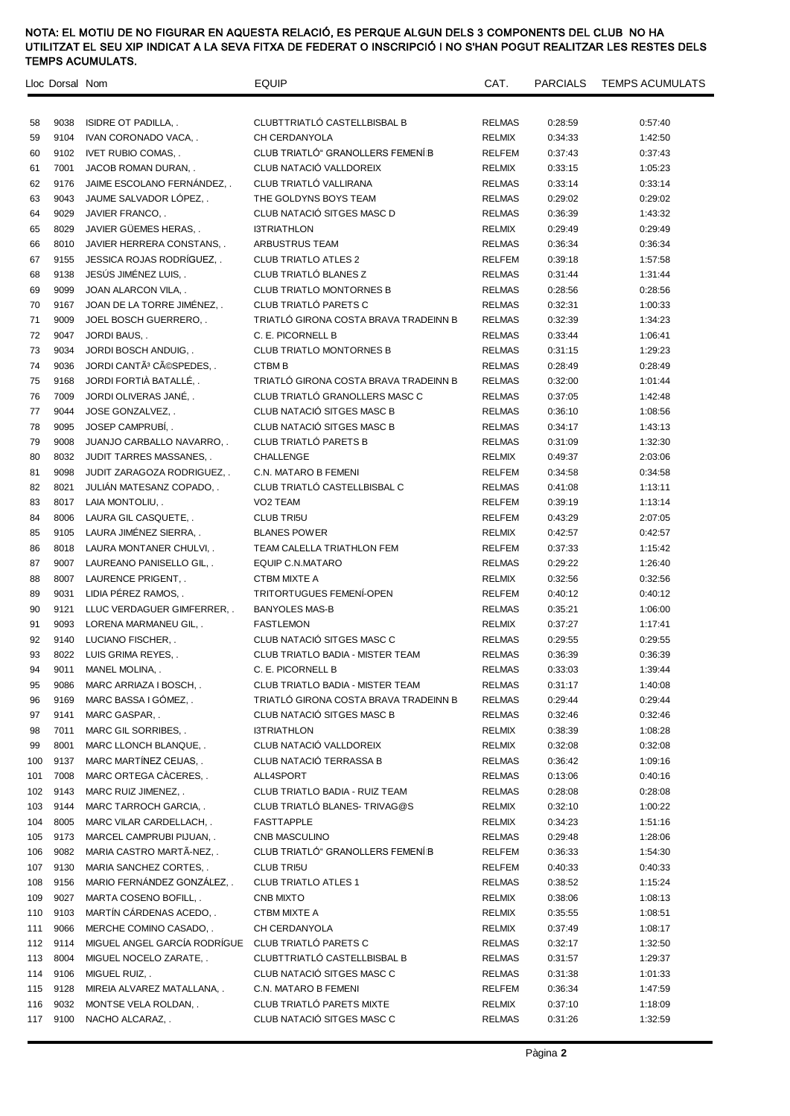|          | Lloc Dorsal Nom |                                                     | <b>EQUIP</b>                            | CAT.                           | PARCIALS           | <b>TEMPS ACUMULATS</b> |
|----------|-----------------|-----------------------------------------------------|-----------------------------------------|--------------------------------|--------------------|------------------------|
|          |                 |                                                     | CLUBTTRIATLÓ CASTELLBISBAL B            |                                |                    |                        |
| 58       | 9038<br>9104    | <b>ISIDRE OT PADILLA,.</b><br>IVAN CORONADO VACA, . | CH CERDANYOLA                           | <b>RELMAS</b><br><b>RELMIX</b> | 0:28:59<br>0:34:33 | 0:57:40<br>1:42:50     |
| 59<br>60 | 9102            | <b>IVET RUBIO COMAS</b>                             | CLUB TRIATLÓ" GRANOLLERS FEMENÍB        | <b>RELFEM</b>                  |                    | 0:37:43                |
| 61       | 7001            | JACOB ROMAN DURAN, .                                | CLUB NATACIÓ VALLDOREIX                 | <b>RELMIX</b>                  | 0:37:43<br>0:33:15 | 1:05:23                |
| 62       | 9176            | JAIME ESCOLANO FERNÁNDEZ,.                          | CLUB TRIATLÓ VALLIRANA                  | <b>RELMAS</b>                  | 0:33:14            | 0:33:14                |
|          |                 |                                                     |                                         |                                |                    |                        |
| 63       | 9043            | JAUME SALVADOR LÓPEZ,                               | THE GOLDYNS BOYS TEAM                   | <b>RELMAS</b>                  | 0:29:02            | 0:29:02                |
| 64       | 9029            | JAVIER FRANCO, .                                    | CLUB NATACIÓ SITGES MASC D              | <b>RELMAS</b>                  | 0:36:39            | 1:43:32                |
| 65       | 8029            | JAVIER GÜEMES HERAS                                 | <b>I3TRIATHLON</b>                      | <b>RELMIX</b>                  | 0:29:49            | 0:29:49                |
| 66       | 8010            | JAVIER HERRERA CONSTANS, .                          | ARBUSTRUS TEAM                          | <b>RELMAS</b>                  | 0:36:34            | 0:36:34                |
| 67       | 9155            | JESSICA ROJAS RODRÍGUEZ                             | <b>CLUB TRIATLO ATLES 2</b>             | RELFEM                         | 0:39:18            | 1:57:58                |
| 68       | 9138            | JESÚS JIMÉNEZ LUIS,.                                | CLUB TRIATLÓ BLANES Z                   | <b>RELMAS</b>                  | 0:31:44            | 1:31:44                |
| 69       | 9099            | JOAN ALARCON VILA, .                                | <b>CLUB TRIATLO MONTORNES B</b>         | <b>RELMAS</b>                  | 0:28:56            | 0:28:56                |
| 70       | 9167            | JOAN DE LA TORRE JIMÉNEZ,.                          | CLUB TRIATLÓ PARETS C                   | <b>RELMAS</b>                  | 0:32:31            | 1:00:33                |
| 71       | 9009            | JOEL BOSCH GUERRERO, .                              | TRIATLÓ GIRONA COSTA BRAVA TRADEINN B   | <b>RELMAS</b>                  | 0:32:39            | 1:34:23                |
| 72       | 9047            | JORDI BAUS, .                                       | C. E. PICORNELL B                       | <b>RELMAS</b>                  | 0:33:44            | 1:06:41                |
| 73       | 9034            | JORDI BOSCH ANDUIG, .                               | <b>CLUB TRIATLO MONTORNES B</b>         | <b>RELMAS</b>                  | 0:31:15            | 1:29:23                |
| 74       | 9036            | JORDI CANTÃ <sup>3</sup> CÃOSPEDES                  | <b>CTBMB</b>                            | <b>RELMAS</b>                  | 0:28:49            | 0:28:49                |
| 75       | 9168            | JORDI FORTIÀ BATALLÉ                                | TRIATLÓ GIRONA COSTA BRAVA TRADEINN B   | <b>RELMAS</b>                  | 0:32:00            | 1:01:44                |
| 76       | 7009            | JORDI OLIVERAS JANÉ                                 | CLUB TRIATLÓ GRANOLLERS MASC C          | <b>RELMAS</b>                  | 0:37:05            | 1:42:48                |
| 77       | 9044            | JOSE GONZALVEZ, .                                   | CLUB NATACIÓ SITGES MASC B              | <b>RELMAS</b>                  | 0:36:10            | 1:08:56                |
| 78       | 9095            | JOSEP CAMPRUBI, .                                   | CLUB NATACIÓ SITGES MASC B              | <b>RELMAS</b>                  | 0:34:17            | 1:43:13                |
| 79       | 9008            | JUANJO CARBALLO NAVARRO, .                          | CLUB TRIATLÓ PARETS B                   | <b>RELMAS</b>                  | 0:31:09            | 1:32:30                |
| 80       | 8032            | JUDIT TARRES MASSANES, .                            | CHALLENGE                               | <b>RELMIX</b>                  | 0:49:37            | 2:03:06                |
| 81       | 9098            | JUDIT ZARAGOZA RODRIGUEZ, .                         | C.N. MATARO B FEMENI                    | RELFEM                         | 0:34:58            | 0:34:58                |
| 82       | 8021            | JULIAN MATESANZ COPADO, .                           | CLUB TRIATLÓ CASTELLBISBAL C            | RELMAS                         | 0:41:08            | 1:13:11                |
| 83       | 8017            | LAIA MONTOLIU, .                                    | VO2 TEAM                                | RELFEM                         | 0:39:19            | 1:13:14                |
| 84       | 8006            | LAURA GIL CASQUETE, .                               | <b>CLUB TRI5U</b>                       | RELFEM                         | 0:43:29            | 2:07:05                |
| 85       | 9105            | LAURA JIMÉNEZ SIERRA,                               | <b>BLANES POWER</b>                     | <b>RELMIX</b>                  | 0:42:57            | 0:42:57                |
| 86       | 8018            | LAURA MONTANER CHULVI, .                            | TEAM CALELLA TRIATHLON FEM              | RELFEM                         | 0:37:33            | 1:15:42                |
| 87       | 9007            | LAUREANO PANISELLO GIL, .                           | <b>EQUIP C.N.MATARO</b>                 | <b>RELMAS</b>                  | 0:29:22            | 1:26:40                |
| 88       | 8007            | LAURENCE PRIGENT, .                                 | CTBM MIXTE A                            | <b>RELMIX</b>                  | 0:32:56            | 0:32:56                |
| 89       | 9031            | LIDIA PÉREZ RAMOS,                                  | TRITORTUGUES FEMENÍ-OPEN                | <b>RELFEM</b>                  | 0:40:12            | 0:40:12                |
| 90       | 9121            | LLUC VERDAGUER GIMFERRER, .                         | <b>BANYOLES MAS-B</b>                   | <b>RELMAS</b>                  | 0:35:21            | 1:06:00                |
| 91       | 9093            | LORENA MARMANEU GIL                                 | <b>FASTLEMON</b>                        | <b>RELMIX</b>                  | 0:37:27            | 1:17:41                |
| 92       | 9140            | LUCIANO FISCHER, .                                  | CLUB NATACIÓ SITGES MASC C              | <b>RELMAS</b>                  | 0:29:55            | 0:29:55                |
| 93       |                 | 8022 LUIS GRIMA REYES.                              | <b>CLUB TRIATLO BADIA - MISTER TEAM</b> | <b>RELMAS</b>                  | 0:36:39            | 0:36:39                |
| 94       |                 | 9011 MANEL MOLINA, .                                | C. E. PICORNELL B                       | <b>RELMAS</b>                  | 0:33:03            | 1:39:44                |
| 95       | 9086            | MARC ARRIAZA I BOSCH, .                             | CLUB TRIATLO BADIA - MISTER TEAM        | RELMAS                         | 0:31:17            | 1:40:08                |
| 96       | 9169            | MARC BASSA I GÓMEZ                                  | TRIATLO GIRONA COSTA BRAVA TRADEINN B   | RELMAS                         | 0:29:44            | 0:29:44                |
| 97       | 9141            | MARC GASPAR, .                                      | CLUB NATACIO SITGES MASC B              | <b>RELMAS</b>                  | 0:32:46            | 0:32:46                |
| 98       | 7011            | MARC GIL SORRIBES, .                                | <b>I3TRIATHLON</b>                      | RELMIX                         | 0:38:39            | 1:08:28                |
| 99       | 8001            | MARC LLONCH BLANQUE, .                              | CLUB NATACIÓ VALLDOREIX                 | RELMIX                         | 0:32:08            | 0:32:08                |
| 100      | 9137            | MARC MARTINEZ CEIJAS, .                             | CLUB NATACIÓ TERRASSA B                 | <b>RELMAS</b>                  | 0:36:42            | 1:09:16                |
| 101      | 7008            | MARC ORTEGA CACERES, .                              | ALL4SPORT                               | RELMAS                         | 0:13:06            | 0:40:16                |
| 102      | 9143            | MARC RUIZ JIMENEZ, .                                | CLUB TRIATLO BADIA - RUIZ TEAM          | RELMAS                         | 0:28:08            | 0:28:08                |
| 103      | 9144            | MARC TARROCH GARCIA, .                              | CLUB TRIATLÓ BLANES- TRIVAG@S           | RELMIX                         | 0:32:10            | 1:00:22                |
| 104      | 8005            | MARC VILAR CARDELLACH, .                            | <b>FASTTAPPLE</b>                       | RELMIX                         | 0:34:23            | 1:51:16                |
| 105      | 9173            | MARCEL CAMPRUBI PIJUAN, .                           | CNB MASCULINO                           | RELMAS                         | 0:29:48            | 1:28:06                |
| 106      | 9082            | MARIA CASTRO MARTÃ-NEZ,                             | CLUB TRIATLÓ" GRANOLLERS FEMENÍB        | RELFEM                         | 0:36:33            | 1:54:30                |
| 107      | 9130            | MARIA SANCHEZ CORTES, .                             | CLUB TRI5U                              | RELFEM                         | 0:40:33            | 0:40:33                |
| 108      | 9156            | MARIO FERNÁNDEZ GONZÁLEZ,.                          | <b>CLUB TRIATLO ATLES 1</b>             | RELMAS                         | 0:38:52            | 1:15:24                |
| 109      | 9027            | MARTA COSENO BOFILL, .                              | CNB MIXTO                               | RELMIX                         | 0:38:06            | 1:08:13                |
| 110      | 9103            | MARTÍN CÁRDENAS ACEDO, .                            | CTBM MIXTE A                            | RELMIX                         | 0:35:55            | 1:08:51                |
|          |                 |                                                     |                                         |                                |                    |                        |
| 111      | 9066            | MERCHE COMINO CASADO, .                             | CH CERDANYOLA                           | RELMIX                         | 0:37:49            | 1:08:17                |
| 112      | 9114            | MIGUEL ANGEL GARCÍA RODRÍGUE                        | CLUB TRIATLÓ PARETS C                   | RELMAS                         | 0:32:17            | 1:32:50                |
| 113      | 8004            | MIGUEL NOCELO ZARATE, .                             | CLUBTTRIATLÓ CASTELLBISBAL B            | RELMAS                         | 0:31:57            | 1:29:37                |
| 114      | 9106            | MIGUEL RUIZ, .                                      | CLUB NATACIÓ SITGES MASC C              | RELMAS                         | 0:31:38            | 1:01:33                |
| 115      | 9128            | MIREIA ALVAREZ MATALLANA, .                         | C.N. MATARO B FEMENI                    | RELFEM                         | 0:36:34            | 1:47:59                |
| 116      | 9032            | MONTSE VELA ROLDAN, .                               | CLUB TRIATLÓ PARETS MIXTE               | RELMIX                         | 0:37:10            | 1:18:09                |
| 117      | 9100            | NACHO ALCARAZ, .                                    | CLUB NATACIÓ SITGES MASC C              | RELMAS                         | 0:31:26            | 1:32:59                |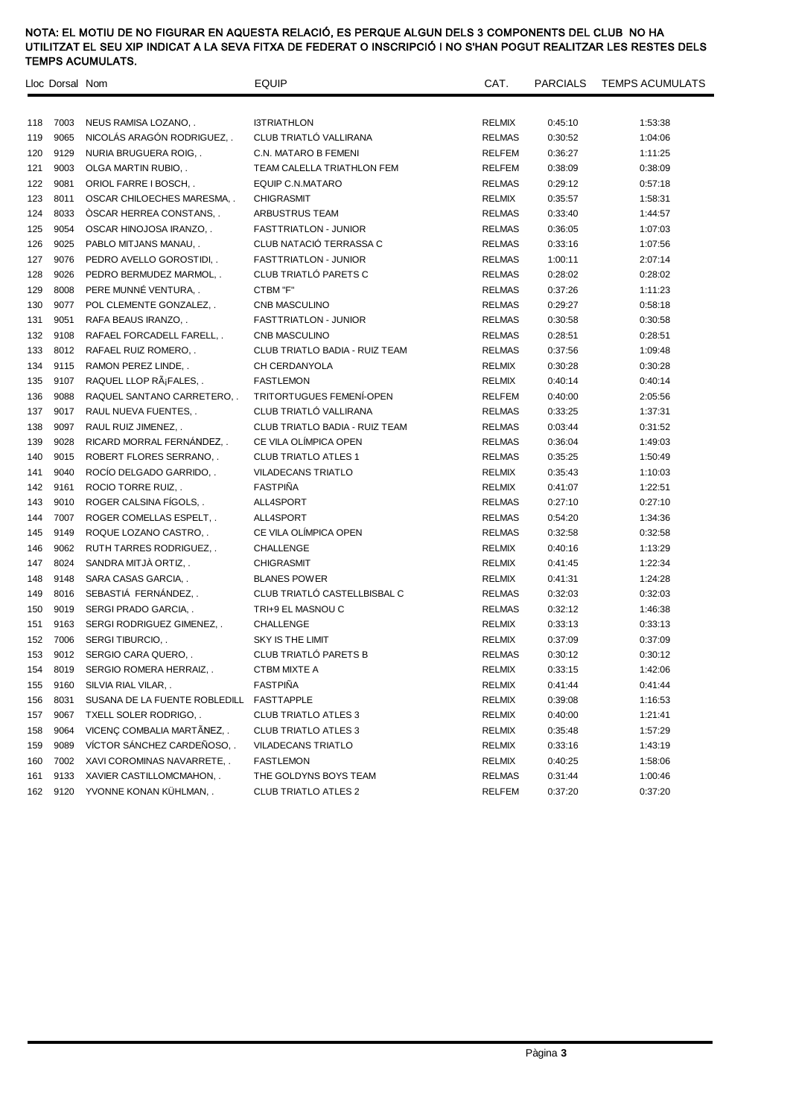|     | Lloc Dorsal Nom |                               | <b>EQUIP</b>                   | CAT.          | PARCIALS | <b>TEMPS ACUMULATS</b> |
|-----|-----------------|-------------------------------|--------------------------------|---------------|----------|------------------------|
|     |                 |                               |                                |               |          |                        |
| 118 | 7003            | NEUS RAMISA LOZANO, .         | <b>I3TRIATHLON</b>             | RELMIX        | 0:45:10  | 1:53:38                |
| 119 | 9065            | NICOLÁS ARAGÓN RODRIGUEZ      | CLUB TRIATLÓ VALLIRANA         | <b>RELMAS</b> | 0:30:52  | 1:04:06                |
| 120 | 9129            | NURIA BRUGUERA ROIG           | C.N. MATARO B FEMENI           | RELFEM        | 0:36:27  | 1:11:25                |
| 121 | 9003            | OLGA MARTIN RUBIO, .          | TEAM CALELLA TRIATHLON FEM     | RELFEM        | 0:38:09  | 0:38:09                |
| 122 | 9081            | ORIOL FARRE I BOSCH, .        | EQUIP C.N.MATARO               | <b>RELMAS</b> | 0:29:12  | 0:57:18                |
| 123 | 8011            | OSCAR CHILOECHES MARESMA, .   | <b>CHIGRASMIT</b>              | <b>RELMIX</b> | 0:35:57  | 1:58:31                |
| 124 | 8033            | OSCAR HERREA CONSTANS, .      | ARBUSTRUS TEAM                 | <b>RELMAS</b> | 0:33:40  | 1:44:57                |
| 125 | 9054            | OSCAR HINOJOSA IRANZO, .      | <b>FASTTRIATLON - JUNIOR</b>   | <b>RELMAS</b> | 0:36:05  | 1:07:03                |
| 126 | 9025            | PABLO MITJANS MANAU, .        | CLUB NATACIÓ TERRASSA C        | RELMAS        | 0:33:16  | 1:07:56                |
| 127 | 9076            | PEDRO AVELLO GOROSTIDI, .     | <b>FASTTRIATLON - JUNIOR</b>   | <b>RELMAS</b> | 1:00:11  | 2:07:14                |
| 128 | 9026            | PEDRO BERMUDEZ MARMOL, .      | CLUB TRIATLÓ PARETS C          | <b>RELMAS</b> | 0:28:02  | 0:28:02                |
| 129 | 8008            | PERE MUNNÉ VENTURA,           | CTBM "F"                       | <b>RELMAS</b> | 0:37:26  | 1:11:23                |
| 130 | 9077            | POL CLEMENTE GONZALEZ, .      | CNB MASCULINO                  | <b>RELMAS</b> | 0:29:27  | 0:58:18                |
| 131 | 9051            | RAFA BEAUS IRANZO, .          | <b>FASTTRIATLON - JUNIOR</b>   | <b>RELMAS</b> | 0:30:58  | 0:30:58                |
| 132 | 9108            | RAFAEL FORCADELL FARELL, .    | CNB MASCULINO                  | <b>RELMAS</b> | 0:28:51  | 0:28:51                |
| 133 | 8012            | RAFAEL RUIZ ROMERO, .         | CLUB TRIATLO BADIA - RUIZ TEAM | RELMAS        | 0:37:56  | 1:09:48                |
| 134 | 9115            | RAMON PEREZ LINDE, .          | CH CERDANYOLA                  | RELMIX        | 0:30:28  | 0:30:28                |
| 135 | 9107            | RAQUEL LLOP RáFALES,.         | <b>FASTLEMON</b>               | <b>RELMIX</b> | 0:40:14  | 0:40:14                |
| 136 | 9088            | RAQUEL SANTANO CARRETERO, .   | TRITORTUGUES FEMENÍ-OPEN       | <b>RELFEM</b> | 0:40:00  | 2:05:56                |
| 137 | 9017            | RAUL NUEVA FUENTES, .         | CLUB TRIATLÓ VALLIRANA         | <b>RELMAS</b> | 0:33:25  | 1:37:31                |
| 138 | 9097            | RAUL RUIZ JIMENEZ, .          | CLUB TRIATLO BADIA - RUIZ TEAM | <b>RELMAS</b> | 0:03:44  | 0:31:52                |
| 139 | 9028            | RICARD MORRAL FERNÁNDEZ, .    | CE VILA OLÍMPICA OPEN          | <b>RELMAS</b> | 0:36:04  | 1:49:03                |
| 140 | 9015            | ROBERT FLORES SERRANO, .      | <b>CLUB TRIATLO ATLES 1</b>    | <b>RELMAS</b> | 0:35:25  | 1:50:49                |
| 141 | 9040            | ROCÍO DELGADO GARRIDO, .      | <b>VILADECANS TRIATLO</b>      | <b>RELMIX</b> | 0:35:43  | 1:10:03                |
| 142 | 9161            | ROCIO TORRE RUIZ, .           | <b>FASTPIÑA</b>                | <b>RELMIX</b> | 0:41:07  | 1:22:51                |
| 143 | 9010            | ROGER CALSINA FIGOLS, .       | ALL4SPORT                      | <b>RELMAS</b> | 0:27:10  | 0:27:10                |
| 144 | 7007            | ROGER COMELLAS ESPELT, .      | ALL4SPORT                      | <b>RELMAS</b> | 0:54:20  | 1:34:36                |
| 145 | 9149            | ROQUE LOZANO CASTRO, .        | CE VILA OLÍMPICA OPEN          | <b>RELMAS</b> | 0:32:58  | 0:32:58                |
| 146 | 9062            | RUTH TARRES RODRIGUEZ, .      | CHALLENGE                      | <b>RELMIX</b> | 0:40:16  | 1:13:29                |
| 147 | 8024            | SANDRA MITJA ORTIZ, .         | <b>CHIGRASMIT</b>              | <b>RELMIX</b> | 0:41:45  | 1:22:34                |
| 148 | 9148            | SARA CASAS GARCIA, .          | <b>BLANES POWER</b>            | <b>RELMIX</b> | 0:41:31  | 1:24:28                |
| 149 | 8016            | SEBASTIA FERNÁNDEZ,           | CLUB TRIATLÓ CASTELLBISBAL C   | RELMAS        | 0:32:03  | 0:32:03                |
| 150 | 9019            | SERGI PRADO GARCIA, .         | TRI+9 EL MASNOU C              | <b>RELMAS</b> | 0:32:12  | 1:46:38                |
| 151 | 9163            | SERGI RODRIGUEZ GIMENEZ, .    | CHALLENGE                      | RELMIX        | 0:33:13  | 0:33:13                |
| 152 | 7006            | <b>SERGI TIBURCIO</b>         | SKY IS THE LIMIT               | <b>RELMIX</b> | 0:37:09  | 0:37:09                |
| 153 | 9012            | SERGIO CARA QUERO             | CLUB TRIATLÓ PARETS B          | <b>RELMAS</b> | 0:30:12  | 0:30:12                |
| 154 |                 | 8019 SERGIO ROMERA HERRAIZ,.  | CTBM MIXTE A                   | RELMIX        | 0:33:15  | 1:42:06                |
| 155 | 9160            | SILVIA RIAL VILAR, .          | <b>FASTPINA</b>                | <b>RELMIX</b> | 0:41:44  | 0:41:44                |
| 156 | 8031            | SUSANA DE LA FUENTE ROBLEDILL | FASTTAPPLE                     | <b>RELMIX</b> | 0:39:08  | 1:16:53                |
| 157 | 9067            | TXELL SOLER RODRIGO, .        | <b>CLUB TRIATLO ATLES 3</b>    | RELMIX        | 0:40:00  | 1:21:41                |
| 158 | 9064            | VICENÇ COMBALIA MARTÂNEZ, .   | <b>CLUB TRIATLO ATLES 3</b>    | RELMIX        | 0:35:48  | 1:57:29                |
| 159 | 9089            | VÍCTOR SÁNCHEZ CARDEÑOSO,.    | <b>VILADECANS TRIATLO</b>      | RELMIX        | 0:33:16  | 1:43:19                |
| 160 | 7002            | XAVI COROMINAS NAVARRETE, .   | <b>FASTLEMON</b>               | RELMIX        | 0:40:25  | 1:58:06                |
| 161 | 9133            | XAVIER CASTILLOMCMAHON, .     | THE GOLDYNS BOYS TEAM          | <b>RELMAS</b> | 0:31:44  | 1:00:46                |
| 162 | 9120            | YVONNE KONAN KÜHLMAN, .       | <b>CLUB TRIATLO ATLES 2</b>    | <b>RELFEM</b> | 0:37:20  | 0:37:20                |
|     |                 |                               |                                |               |          |                        |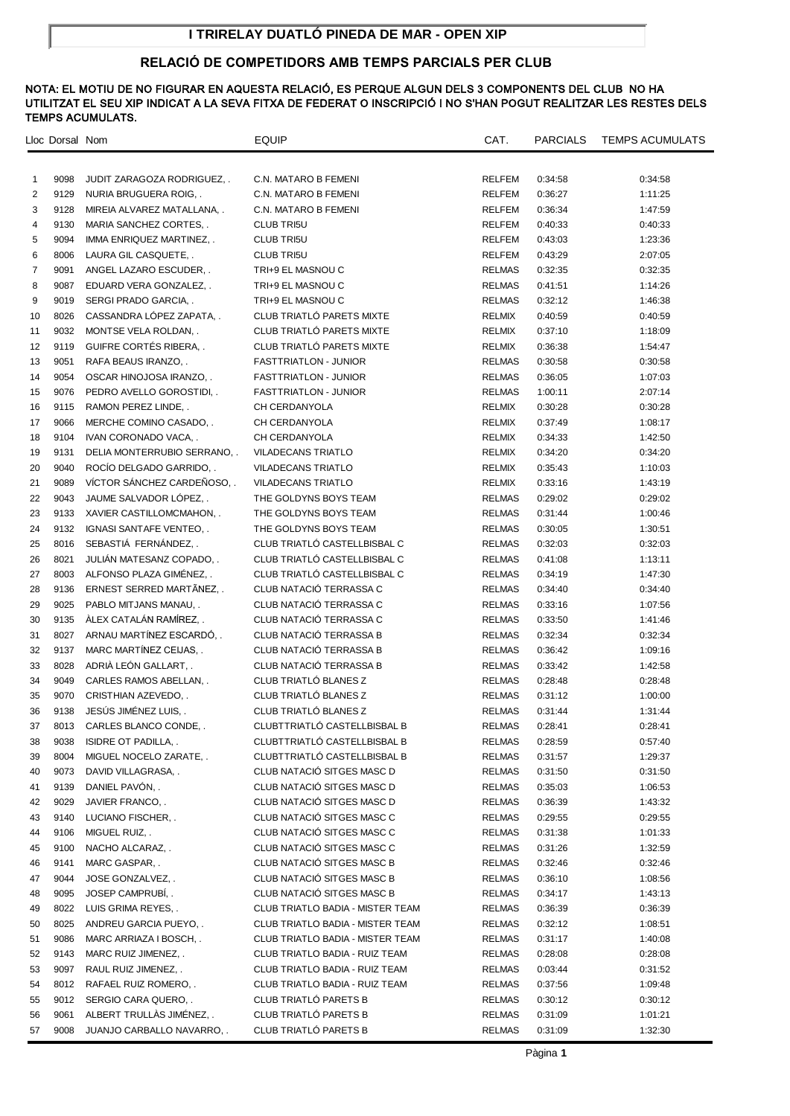# **I TRIRELAY DUATLÓ PINEDA DE MAR - OPEN XIP**

## **RELACIÓ DE COMPETIDORS AMB TEMPS PARCIALS PER CLUB**

|                | Lloc Dorsal Nom |                              | EQUIP                            | CAT.          | <b>PARCIALS</b> | <b>TEMPS ACUMULATS</b> |
|----------------|-----------------|------------------------------|----------------------------------|---------------|-----------------|------------------------|
|                |                 |                              |                                  |               |                 |                        |
|                |                 |                              |                                  |               |                 |                        |
| 1              | 9098            | JUDIT ZARAGOZA RODRIGUEZ     | C.N. MATARO B FEMENI             | RELFEM        | 0:34:58         | 0:34:58                |
| 2              | 9129            | NURIA BRUGUERA ROIG, .       | C.N. MATARO B FEMENI             | <b>RELFEM</b> | 0:36:27         | 1:11:25                |
| 3              | 9128            | MIREIA ALVAREZ MATALLANA, .  | C.N. MATARO B FEMENI             | RELFEM        | 0:36:34         | 1:47:59                |
| 4              | 9130            | MARIA SANCHEZ CORTES, .      | <b>CLUB TRI5U</b>                | <b>RELFEM</b> | 0:40:33         | 0:40:33                |
| 5              | 9094            | IMMA ENRIQUEZ MARTINEZ, .    | <b>CLUB TRI5U</b>                | <b>RELFEM</b> | 0:43:03         | 1:23:36                |
| 6              | 8006            | LAURA GIL CASQUETE, .        | <b>CLUB TRI5U</b>                | <b>RELFEM</b> | 0:43:29         | 2:07:05                |
| $\overline{7}$ | 9091            | ANGEL LAZARO ESCUDER         | TRI+9 EL MASNOU C                | <b>RELMAS</b> | 0:32:35         | 0:32:35                |
| 8              | 9087            | EDUARD VERA GONZALEZ, .      | TRI+9 EL MASNOU C                | <b>RELMAS</b> | 0:41:51         | 1:14:26                |
| 9              | 9019            | SERGI PRADO GARCIA           | TRI+9 EL MASNOU C                | <b>RELMAS</b> | 0:32:12         | 1:46:38                |
| 10             | 8026            | CASSANDRA LÓPEZ ZAPATA,      | CLUB TRIATLÓ PARETS MIXTE        | RELMIX        | 0:40:59         | 0:40:59                |
| 11             | 9032            | MONTSE VELA ROLDAN, .        | CLUB TRIATLÓ PARETS MIXTE        | RELMIX        | 0:37:10         | 1:18:09                |
| 12             | 9119            | GUIFRE CORTÉS RIBERA,.       | CLUB TRIATLÓ PARETS MIXTE        | RELMIX        | 0:36:38         | 1:54:47                |
| 13             | 9051            | RAFA BEAUS IRANZO, .         | <b>FASTTRIATLON - JUNIOR</b>     | <b>RELMAS</b> | 0:30:58         | 0:30:58                |
| 14             | 9054            | OSCAR HINOJOSA IRANZO, .     | <b>FASTTRIATLON - JUNIOR</b>     | <b>RELMAS</b> | 0:36:05         | 1:07:03                |
| 15             | 9076            | PEDRO AVELLO GOROSTIDI, .    | <b>FASTTRIATLON - JUNIOR</b>     | <b>RELMAS</b> | 1:00:11         | 2:07:14                |
| 16             | 9115            | RAMON PEREZ LINDE, .         | CH CERDANYOLA                    | RELMIX        | 0:30:28         | 0:30:28                |
| 17             | 9066            | MERCHE COMINO CASADO, .      | CH CERDANYOLA                    | RELMIX        | 0:37:49         | 1:08:17                |
| 18             | 9104            | IVAN CORONADO VACA           | CH CERDANYOLA                    | RELMIX        | 0:34:33         | 1:42:50                |
| 19             | 9131            | DELIA MONTERRUBIO SERRANO, . | <b>VILADECANS TRIATLO</b>        | RELMIX        | 0:34:20         | 0:34:20                |
| 20             | 9040            | ROCÍO DELGADO GARRIDO, .     | <b>VILADECANS TRIATLO</b>        | RELMIX        | 0:35:43         | 1:10:03                |
| 21             | 9089            | VÍCTOR SÁNCHEZ CARDEÑOSO     | <b>VILADECANS TRIATLO</b>        | RELMIX        | 0:33:16         | 1:43:19                |
| 22             | 9043            | JAUME SALVADOR LÓPEZ,        | THE GOLDYNS BOYS TEAM            | <b>RELMAS</b> | 0:29:02         | 0:29:02                |
| 23             | 9133            | XAVIER CASTILLOMCMAHON, .    | THE GOLDYNS BOYS TEAM            | <b>RELMAS</b> | 0:31:44         | 1:00:46                |
| 24             | 9132            | IGNASI SANTAFE VENTEO, .     | THE GOLDYNS BOYS TEAM            | <b>RELMAS</b> | 0:30:05         | 1:30:51                |
| 25             | 8016            | SEBASTIÁ FERNÁNDEZ,.         | CLUB TRIATLÓ CASTELLBISBAL C     | <b>RELMAS</b> | 0:32:03         | 0:32:03                |
| 26             | 8021            | JULIÁN MATESANZ COPADO, .    | CLUB TRIATLÓ CASTELLBISBAL C     | <b>RELMAS</b> | 0:41:08         | 1:13:11                |
| 27             | 8003            | ALFONSO PLAZA GIMÉNEZ, .     | CLUB TRIATLÓ CASTELLBISBAL C     | <b>RELMAS</b> | 0:34:19         | 1:47:30                |
| 28             | 9136            | ERNEST SERRED MARTÄNEZ,      | CLUB NATACIÓ TERRASSA C          | <b>RELMAS</b> | 0:34:40         | 0:34:40                |
| 29             | 9025            | PABLO MITJANS MANAU, .       | CLUB NATACIÓ TERRASSA C          | <b>RELMAS</b> | 0:33:16         | 1:07:56                |
| 30             | 9135            | ÁLEX CATALÁN RAMÍREZ,        | CLUB NATACIÓ TERRASSA C          | <b>RELMAS</b> | 0:33:50         | 1:41:46                |
| 31             | 8027            | ARNAU MARTÍNEZ ESCARDÓ,      | CLUB NATACIÓ TERRASSA B          | <b>RELMAS</b> | 0:32:34         | 0:32:34                |
| 32             | 9137            | MARC MARTINEZ CEIJAS, .      | CLUB NATACIÓ TERRASSA B          | <b>RELMAS</b> | 0:36:42         | 1:09:16                |
| 33             | 8028            | ADRIA LEÓN GALLART,          | CLUB NATACIÓ TERRASSA B          | <b>RELMAS</b> | 0:33:42         | 1:42:58                |
| 34             | 9049            | CARLES RAMOS ABELLAN, .      | CLUB TRIATLÓ BLANES Z            | <b>RELMAS</b> | 0:28:48         | 0:28:48                |
| 35             | 9070            | CRISTHIAN AZEVEDO, .         | CLUB TRIATLÓ BLANES Z            | <b>RELMAS</b> | 0:31:12         | 1:00:00                |
| 36             | 9138            | JESÚS JIMÉNEZ LUIS, .        | CLUB TRIATLÓ BLANES Z            | <b>RELMAS</b> | 0:31:44         | 1:31:44                |
| 37             |                 | 8013 CARLES BLANCO CONDE, .  | CLUBTTRIATLÓ CASTELLBISBAL B     | <b>RELMAS</b> | 0:28:41         | 0:28:41                |
| 38             | 9038            | ISIDRE OT PADILLA, .         | CLUBTTRIATLÓ CASTELLBISBAL B     | <b>RELMAS</b> | 0:28:59         | 0:57:40                |
| 39             | 8004            | MIGUEL NOCELO ZARATE, .      | CLUBTTRIATLO CASTELLBISBAL B     | RELMAS        | 0:31:57         | 1:29:37                |
| 40             | 9073            | DAVID VILLAGRASA, .          | CLUB NATACIO SITGES MASC D       | RELMAS        | 0:31:50         | 0:31:50                |
| 41             | 9139            | DANIEL PAVÓN,.               | CLUB NATACIÓ SITGES MASC D       | <b>RELMAS</b> | 0:35:03         | 1:06:53                |
| 42             | 9029            | JAVIER FRANCO, .             | CLUB NATACIO SITGES MASC D       | <b>RELMAS</b> | 0:36:39         | 1:43:32                |
| 43             | 9140            | LUCIANO FISCHER, .           | CLUB NATACIÓ SITGES MASC C       | <b>RELMAS</b> | 0:29:55         | 0:29:55                |
| 44             | 9106            | MIGUEL RUIZ, .               | CLUB NATACIÓ SITGES MASC C       | <b>RELMAS</b> | 0:31:38         | 1:01:33                |
| 45             | 9100            | NACHO ALCARAZ, .             | CLUB NATACIÓ SITGES MASC C       | <b>RELMAS</b> | 0:31:26         | 1:32:59                |
| 46             | 9141            | MARC GASPAR, .               | CLUB NATACIÓ SITGES MASC B       | <b>RELMAS</b> | 0:32:46         | 0:32:46                |
| 47             | 9044            | JOSE GONZALVEZ, .            | CLUB NATACIÓ SITGES MASC B       | <b>RELMAS</b> | 0:36:10         | 1:08:56                |
| 48             | 9095            | JOSEP CAMPRUBI, .            | CLUB NATACIÓ SITGES MASC B       | <b>RELMAS</b> | 0:34:17         | 1:43:13                |
| 49             | 8022            | LUIS GRIMA REYES, .          | CLUB TRIATLO BADIA - MISTER TEAM | <b>RELMAS</b> | 0:36:39         | 0:36:39                |
| 50             | 8025            | ANDREU GARCIA PUEYO, .       | CLUB TRIATLO BADIA - MISTER TEAM | <b>RELMAS</b> | 0:32:12         | 1:08:51                |
| 51             | 9086            | MARC ARRIAZA I BOSCH, .      | CLUB TRIATLO BADIA - MISTER TEAM | RELMAS        | 0:31:17         | 1:40:08                |
| 52             | 9143            | MARC RUIZ JIMENEZ, .         | CLUB TRIATLO BADIA - RUIZ TEAM   | <b>RELMAS</b> | 0:28:08         | 0:28:08                |
| 53             | 9097            | RAUL RUIZ JIMENEZ, .         | CLUB TRIATLO BADIA - RUIZ TEAM   | <b>RELMAS</b> | 0:03:44         | 0:31:52                |
| 54             | 8012            | RAFAEL RUIZ ROMERO, .        | CLUB TRIATLO BADIA - RUIZ TEAM   | <b>RELMAS</b> | 0:37:56         | 1:09:48                |
| 55             | 9012            | SERGIO CARA QUERO, .         | <b>CLUB TRIATLO PARETS B</b>     | <b>RELMAS</b> | 0:30:12         | 0:30:12                |
| 56             | 9061            | ALBERT TRULLAS JIMÉNEZ,      | CLUB TRIATLÓ PARETS B            | <b>RELMAS</b> | 0:31:09         | 1:01:21                |
| 57             | 9008            | JUANJO CARBALLO NAVARRO,     | <b>CLUB TRIATLÓ PARETS B</b>     | <b>RELMAS</b> | 0:31:09         | 1:32:30                |
|                |                 |                              |                                  |               |                 |                        |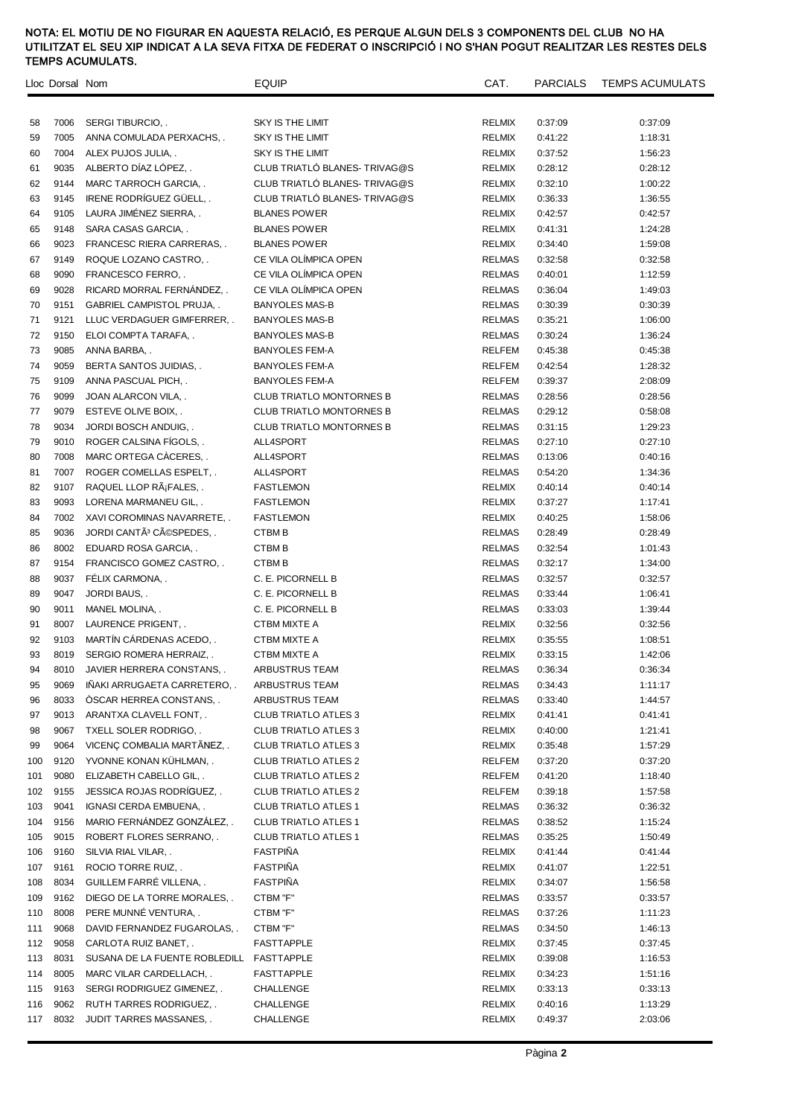|     | Lloc Dorsal Nom |                                          | <b>EQUIP</b>                    | CAT.          |         | PARCIALS TEMPS ACUMULATS |
|-----|-----------------|------------------------------------------|---------------------------------|---------------|---------|--------------------------|
|     |                 |                                          |                                 |               |         |                          |
| 58  | 7006            | SERGI TIBURCIO, .                        | SKY IS THE LIMIT                | <b>RELMIX</b> | 0:37:09 | 0:37:09                  |
| 59  | 7005            | ANNA COMULADA PERXACHS, .                | <b>SKY IS THE LIMIT</b>         | <b>RELMIX</b> | 0:41:22 | 1:18:31                  |
| 60  | 7004            | ALEX PUJOS JULIA                         | <b>SKY IS THE LIMIT</b>         | <b>RELMIX</b> | 0:37:52 | 1:56:23                  |
| 61  | 9035            | ALBERTO DÍAZ LÓPEZ,.                     | CLUB TRIATLO BLANES- TRIVAG@S   | <b>RELMIX</b> | 0:28:12 | 0:28:12                  |
| 62  | 9144            | MARC TARROCH GARCIA, .                   | CLUB TRIATLÓ BLANES- TRIVAG@S   | <b>RELMIX</b> | 0:32:10 | 1:00:22                  |
| 63  | 9145            | IRENE RODRÍGUEZ GÜELL,.                  | CLUB TRIATLÓ BLANES- TRIVAG@S   | <b>RELMIX</b> | 0:36:33 | 1:36:55                  |
| 64  | 9105            | LAURA JIMÉNEZ SIERRA,.                   | <b>BLANES POWER</b>             | <b>RELMIX</b> | 0:42:57 | 0:42:57                  |
| 65  | 9148            | SARA CASAS GARCIA, .                     | <b>BLANES POWER</b>             | <b>RELMIX</b> | 0:41:31 | 1:24:28                  |
| 66  | 9023            | FRANCESC RIERA CARRERAS, .               | <b>BLANES POWER</b>             | <b>RELMIX</b> | 0:34:40 | 1:59:08                  |
| 67  | 9149            | ROQUE LOZANO CASTRO, .                   | CE VILA OLÍMPICA OPEN           | <b>RELMAS</b> | 0:32:58 | 0:32:58                  |
| 68  | 9090            | FRANCESCO FERRO,.                        | CE VILA OLÍMPICA OPEN           | <b>RELMAS</b> | 0:40:01 | 1:12:59                  |
| 69  | 9028            | RICARD MORRAL FERNANDEZ,.                | CE VILA OLÍMPICA OPEN           | <b>RELMAS</b> | 0:36:04 | 1:49:03                  |
| 70  | 9151            | <b>GABRIEL CAMPISTOL PRUJA,</b>          | <b>BANYOLES MAS-B</b>           | <b>RELMAS</b> | 0:30:39 | 0:30:39                  |
| 71  | 9121            | LLUC VERDAGUER GIMFERRER, .              | <b>BANYOLES MAS-B</b>           | <b>RELMAS</b> | 0:35:21 | 1:06:00                  |
| 72  | 9150            | ELOI COMPTA TARAFA,                      | <b>BANYOLES MAS-B</b>           | <b>RELMAS</b> | 0:30:24 | 1:36:24                  |
| 73  | 9085            | ANNA BARBA, .                            | <b>BANYOLES FEM-A</b>           | <b>RELFEM</b> | 0:45:38 | 0:45:38                  |
| 74  | 9059            | BERTA SANTOS JUIDIAS, .                  | <b>BANYOLES FEM-A</b>           | <b>RELFEM</b> | 0:42:54 | 1:28:32                  |
| 75  | 9109            | ANNA PASCUAL PICH                        | <b>BANYOLES FEM-A</b>           | <b>RELFEM</b> | 0:39:37 | 2:08:09                  |
| 76  | 9099            | JOAN ALARCON VILA, .                     | <b>CLUB TRIATLO MONTORNES B</b> | <b>RELMAS</b> | 0:28:56 | 0:28:56                  |
| 77  | 9079            | ESTEVE OLIVE BOIX, .                     | <b>CLUB TRIATLO MONTORNES B</b> | <b>RELMAS</b> | 0:29:12 | 0:58:08                  |
| 78  | 9034            | JORDI BOSCH ANDUIG, .                    | <b>CLUB TRIATLO MONTORNES B</b> | <b>RELMAS</b> | 0:31:15 | 1:29:23                  |
| 79  | 9010            | ROGER CALSINA FIGOLS                     | ALL4SPORT                       | <b>RELMAS</b> | 0:27:10 | 0:27:10                  |
| 80  | 7008            | MARC ORTEGA CACERES                      | ALL4SPORT                       | <b>RELMAS</b> | 0:13:06 | 0:40:16                  |
| 81  | 7007            | ROGER COMELLAS ESPELT, .                 | ALL4SPORT                       | <b>RELMAS</b> | 0:54:20 | 1:34:36                  |
| 82  | 9107            | RAQUEL LLOP RáFALES,.                    | <b>FASTLEMON</b>                | <b>RELMIX</b> | 0:40:14 | 0:40:14                  |
| 83  | 9093            | LORENA MARMANEU GIL, .                   | <b>FASTLEMON</b>                | <b>RELMIX</b> | 0:37:27 | 1:17:41                  |
| 84  | 7002            | XAVI COROMINAS NAVARRETE, .              | <b>FASTLEMON</b>                | RELMIX        | 0:40:25 | 1:58:06                  |
| 85  | 9036            | JORDI CANTÃ <sup>3</sup> CÃOSPEDES, .    | CTBM B                          | <b>RELMAS</b> | 0:28:49 | 0:28:49                  |
| 86  | 8002            | EDUARD ROSA GARCIA, .                    | <b>CTBMB</b>                    | <b>RELMAS</b> | 0:32:54 | 1:01:43                  |
| 87  | 9154            | FRANCISCO GOMEZ CASTRO, .                | <b>CTBMB</b>                    | <b>RELMAS</b> | 0:32:17 | 1:34:00                  |
| 88  | 9037            | FÉLIX CARMONA, .                         | C. E. PICORNELL B               | <b>RELMAS</b> | 0:32:57 | 0:32:57                  |
| 89  | 9047            | JORDI BAUS, .                            | C. E. PICORNELL B               | <b>RELMAS</b> | 0:33:44 | 1:06:41                  |
| 90  | 9011            | MANEL MOLINA, .                          | C. E. PICORNELL B               | <b>RELMAS</b> | 0:33:03 | 1:39:44                  |
| 91  | 8007            | LAURENCE PRIGENT, .                      | <b>CTBM MIXTE A</b>             | RELMIX        | 0:32:56 | 0:32:56                  |
| 92  | 9103            | MARTÍN CÁRDENAS ACEDO, .                 | <b>CTBM MIXTE A</b>             | <b>RELMIX</b> | 0:35:55 | 1:08:51                  |
| 93  | 8019            | SERGIO ROMERA HERRAIZ,                   | <b>CTBM MIXTE A</b>             | <b>RELMIX</b> | 0:33:15 | 1:42:06                  |
| 94  | 8010            | JAVIER HERRERA CONSTANS, .               | ARBUSTRUS TEAM                  | <b>RELMAS</b> | 0:36:34 | 0:36:34                  |
| 95  | 9069            | INAKI ARRUGAETA CARRETERO, .             | ARBUSTRUS TEAM                  | <b>RELMAS</b> | 0:34:43 | 1:11:17                  |
| 96  | 8033            | ÓSCAR HERREA CONSTANS                    | ARBUSTRUS TEAM                  | <b>RELMAS</b> | 0:33:40 | 1:44:57                  |
| 97  | 9013            | ARANTXA CLAVELL FONT, .                  | <b>CLUB TRIATLO ATLES 3</b>     | RELMIX        | 0:41:41 | 0:41:41                  |
| 98  | 9067            | <b>TXELL SOLER RODRIGO,</b>              | <b>CLUB TRIATLO ATLES 3</b>     | <b>RELMIX</b> | 0:40:00 | 1:21:41                  |
| 99  | 9064            | VICENÇ COMBALIA MARTÂNEZ,.               | <b>CLUB TRIATLO ATLES 3</b>     | <b>RELMIX</b> | 0:35:48 | 1:57:29                  |
| 100 | 9120            | YVONNE KONAN KÜHLMAN,                    | <b>CLUB TRIATLO ATLES 2</b>     | RELFEM        | 0:37:20 | 0:37:20                  |
| 101 | 9080            | ELIZABETH CABELLO GIL, .                 | <b>CLUB TRIATLO ATLES 2</b>     | RELFEM        | 0:41:20 | 1:18:40                  |
| 102 | 9155            | JESSICA ROJAS RODRÍGUEZ,.                | <b>CLUB TRIATLO ATLES 2</b>     | <b>RELFEM</b> | 0:39:18 | 1:57:58                  |
| 103 | 9041            | IGNASI CERDA EMBUENA, .                  | <b>CLUB TRIATLO ATLES 1</b>     | <b>RELMAS</b> | 0:36:32 | 0:36:32                  |
| 104 | 9156            | MARIO FERNÁNDEZ GONZÁLEZ,                | <b>CLUB TRIATLO ATLES 1</b>     | <b>RELMAS</b> | 0:38:52 | 1:15:24                  |
| 105 | 9015            | ROBERT FLORES SERRANO, .                 | <b>CLUB TRIATLO ATLES 1</b>     | <b>RELMAS</b> | 0:35:25 | 1:50:49                  |
| 106 | 9160            | SILVIA RIAL VILAR, .                     | <b>FASTPINA</b>                 | RELMIX        | 0:41:44 | 0:41:44                  |
| 107 | 9161            | ROCIO TORRE RUIZ, .                      | <b>FASTPINA</b>                 | <b>RELMIX</b> | 0:41:07 | 1:22:51                  |
| 108 | 8034            | GUILLEM FARRÉ VILLENA,                   | <b>FASTPIÑA</b>                 | RELMIX        | 0:34:07 | 1:56:58                  |
| 109 | 9162            | DIEGO DE LA TORRE MORALES, .             | CTBM "F"                        | <b>RELMAS</b> | 0:33:57 | 0:33:57                  |
| 110 | 8008            | PERE MUNNÉ VENTURA, .                    | CTBM "F"                        | <b>RELMAS</b> | 0:37:26 | 1:11:23                  |
| 111 | 9068            | DAVID FERNANDEZ FUGAROLAS, .             | CTBM "F"                        | <b>RELMAS</b> | 0:34:50 | 1:46:13                  |
| 112 | 9058            | CARLOTA RUIZ BANET, .                    | FASTTAPPLE                      | RELMIX        | 0:37:45 | 0:37:45                  |
| 113 | 8031            | SUSANA DE LA FUENTE ROBLEDILL FASTTAPPLE |                                 | RELMIX        | 0:39:08 | 1:16:53                  |
| 114 | 8005            | MARC VILAR CARDELLACH, .                 | FASTTAPPLE                      | RELMIX        | 0:34:23 | 1:51:16                  |
| 115 | 9163            | SERGI RODRIGUEZ GIMENEZ, .               | CHALLENGE                       | RELMIX        | 0:33:13 | 0:33:13                  |
| 116 | 9062            | RUTH TARRES RODRIGUEZ, .                 | CHALLENGE                       | RELMIX        | 0:40:16 | 1:13:29                  |
| 117 | 8032            | JUDIT TARRES MASSANES, .                 | CHALLENGE                       | RELMIX        | 0:49:37 | 2:03:06                  |
|     |                 |                                          |                                 |               |         |                          |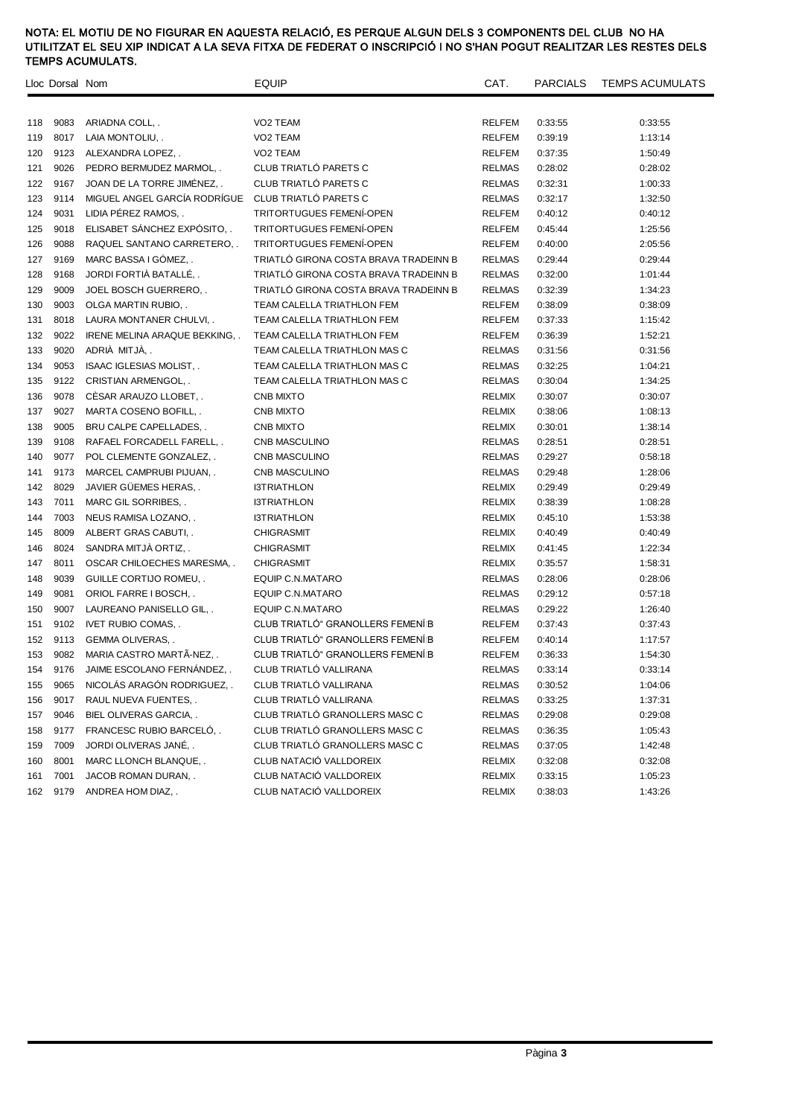|     | Lloc Dorsal Nom |                                    | <b>EQUIP</b>                          | CAT.          | <b>PARCIALS</b> | <b>TEMPS ACUMULATS</b> |
|-----|-----------------|------------------------------------|---------------------------------------|---------------|-----------------|------------------------|
|     |                 |                                    |                                       |               |                 |                        |
| 118 | 9083            | ARIADNA COLL, .                    | VO2 TEAM                              | <b>RELFEM</b> | 0:33:55         | 0:33:55                |
| 119 | 8017            | LAIA MONTOLIU, .                   | VO2 TEAM                              | <b>RELFEM</b> | 0:39:19         | 1:13:14                |
| 120 | 9123            | ALEXANDRA LOPEZ, .                 | VO2 TEAM                              | <b>RELFEM</b> | 0:37:35         | 1:50:49                |
| 121 | 9026            | PEDRO BERMUDEZ MARMOL, .           | CLUB TRIATLÓ PARETS C                 | <b>RELMAS</b> | 0:28:02         | 0:28:02                |
| 122 | 9167            | JOAN DE LA TORRE JIMÉNEZ,          | CLUB TRIATLÓ PARETS C                 | <b>RELMAS</b> | 0:32:31         | 1:00:33                |
| 123 | 9114            | MIGUEL ANGEL GARCÍA RODRÍGUE       | CLUB TRIATLÓ PARETS C                 | <b>RELMAS</b> | 0:32:17         | 1:32:50                |
| 124 | 9031            | LIDIA PÉREZ RAMOS,.                | TRITORTUGUES FEMENÍ-OPEN              | <b>RELFEM</b> | 0:40:12         | 0:40:12                |
| 125 | 9018            | ELISABET SÁNCHEZ EXPÓSITO          | <b>TRITORTUGUES FEMENÍ-OPEN</b>       | <b>RELFEM</b> | 0:45:44         | 1:25:56                |
| 126 | 9088            | RAQUEL SANTANO CARRETERO, .        | TRITORTUGUES FEMENÍ-OPEN              | <b>RELFEM</b> | 0:40:00         | 2:05:56                |
| 127 | 9169            | MARC BASSA I GÓMEZ,.               | TRIATLÓ GIRONA COSTA BRAVA TRADEINN B | <b>RELMAS</b> | 0:29:44         | 0:29:44                |
| 128 | 9168            | JORDI FORTIÀ BATALLÉ,              | TRIATLÓ GIRONA COSTA BRAVA TRADEINN B | <b>RELMAS</b> | 0:32:00         | 1:01:44                |
| 129 | 9009            | JOEL BOSCH GUERRERO, .             | TRIATLÓ GIRONA COSTA BRAVA TRADEINN B | <b>RELMAS</b> | 0:32:39         | 1:34:23                |
| 130 | 9003            | OLGA MARTIN RUBIO, .               | TEAM CALELLA TRIATHLON FEM            | RELFEM        | 0:38:09         | 0:38:09                |
| 131 | 8018            | LAURA MONTANER CHULVI, .           | TEAM CALELLA TRIATHLON FEM            | <b>RELFEM</b> | 0:37:33         | 1:15:42                |
| 132 | 9022            | <b>IRENE MELINA ARAQUE BEKKING</b> | TEAM CALELLA TRIATHLON FEM            | <b>RELFEM</b> | 0:36:39         | 1:52:21                |
| 133 | 9020            | ADRIÀ MITJÀ,.                      | TEAM CALELLA TRIATHLON MAS C          | <b>RELMAS</b> | 0:31:56         | 0:31:56                |
| 134 | 9053            | ISAAC IGLESIAS MOLIST, .           | TEAM CALELLA TRIATHLON MAS C          | <b>RELMAS</b> | 0:32:25         | 1:04:21                |
| 135 | 9122            | CRISTIAN ARMENGOL, .               | TEAM CALELLA TRIATHLON MAS C          | <b>RELMAS</b> | 0:30:04         | 1:34:25                |
| 136 | 9078            | CÉSAR ARAUZO LLOBET,               | CNB MIXTO                             | RELMIX        | 0:30:07         | 0:30:07                |
| 137 | 9027            | MARTA COSENO BOFILL, .             | <b>CNB MIXTO</b>                      | <b>RELMIX</b> | 0:38:06         | 1:08:13                |
| 138 | 9005            | BRU CALPE CAPELLADES, .            | <b>CNB MIXTO</b>                      | RELMIX        | 0:30:01         | 1:38:14                |
| 139 | 9108            | RAFAEL FORCADELL FARELL, .         | CNB MASCULINO                         | <b>RELMAS</b> | 0:28:51         | 0:28:51                |
| 140 | 9077            | POL CLEMENTE GONZALEZ, .           | CNB MASCULINO                         | <b>RELMAS</b> | 0:29:27         | 0:58:18                |
| 141 | 9173            | MARCEL CAMPRUBI PIJUAN, .          | CNB MASCULINO                         | <b>RELMAS</b> | 0:29:48         | 1:28:06                |
| 142 | 8029            | JAVIER GUEMES HERAS, .             | <b>I3TRIATHLON</b>                    | RELMIX        | 0:29:49         | 0:29:49                |
| 143 | 7011            | MARC GIL SORRIBES, .               | <b>I3TRIATHLON</b>                    | RELMIX        | 0:38:39         | 1:08:28                |
| 144 | 7003            | NEUS RAMISA LOZANO, .              | <b>I3TRIATHLON</b>                    | RELMIX        | 0:45:10         | 1:53:38                |
| 145 | 8009            | ALBERT GRAS CABUTI, .              | CHIGRASMIT                            | <b>RELMIX</b> | 0:40:49         | 0:40:49                |
| 146 | 8024            | SANDRA MITJA ORTIZ, .              | <b>CHIGRASMIT</b>                     | <b>RELMIX</b> | 0:41:45         | 1:22:34                |
| 147 | 8011            | OSCAR CHILOECHES MARESMA, .        | CHIGRASMIT                            | <b>RELMIX</b> | 0:35:57         | 1:58:31                |
| 148 | 9039            | GUILLE CORTIJO ROMEU, .            | EQUIP C.N.MATARO                      | <b>RELMAS</b> | 0:28:06         | 0:28:06                |
| 149 | 9081            | ORIOL FARRE I BOSCH, .             | EQUIP C.N.MATARO                      | <b>RELMAS</b> | 0:29:12         | 0:57:18                |
| 150 | 9007            | LAUREANO PANISELLO GIL, .          | EQUIP C.N.MATARO                      | <b>RELMAS</b> | 0:29:22         | 1:26:40                |
| 151 | 9102            | <b>IVET RUBIO COMAS,.</b>          | CLUB TRIATLÓ" GRANOLLERS FEMENIB      | <b>RELFEM</b> | 0:37:43         | 0:37:43                |
| 152 | 9113            | <b>GEMMA OLIVERAS,</b>             | CLUB TRIATLÓ" GRANOLLERS FEMENÍB      | <b>RELFEM</b> | 0:40:14         | 1:17:57                |
| 153 | 9082            | MARIA CASTRO MARTÃ-NEZ             | CLUB TRIATLÓ" GRANOLLERS FEMENIB      | <b>RELFEM</b> | 0:36:33         | 1:54:30                |
| 154 | 9176            | JAIME ESCOLANO FERNÁNDEZ,          | CLUB TRIATLÓ VALLIRANA                | <b>RELMAS</b> | 0:33:14         | 0:33:14                |
| 155 | 9065            | NICOLÁS ARAGÓN RODRIGUEZ,.         | CLUB TRIATLÓ VALLIRANA                | <b>RELMAS</b> | 0:30:52         | 1:04:06                |
| 156 | 9017            | RAUL NUEVA FUENTES, .              | CLUB TRIATLÓ VALLIRANA                | <b>RELMAS</b> | 0:33:25         | 1:37:31                |
| 157 | 9046            | BIEL OLIVERAS GARCIA, .            | CLUB TRIATLÓ GRANOLLERS MASC C        | RELMAS        | 0:29:08         | 0:29:08                |
| 158 | 9177            | FRANCESC RUBIO BARCELO, .          | CLUB TRIATLÓ GRANOLLERS MASC C        | RELMAS        | 0:36:35         | 1:05:43                |
| 159 | 7009            | JORDI OLIVERAS JANÉ,               | CLUB TRIATLÓ GRANOLLERS MASC C        | <b>RELMAS</b> | 0:37:05         | 1:42:48                |
| 160 | 8001            | MARC LLONCH BLANQUE, .             | CLUB NATACIÓ VALLDOREIX               | RELMIX        | 0:32:08         | 0:32:08                |
| 161 | 7001            | JACOB ROMAN DURAN, .               | CLUB NATACIÓ VALLDOREIX               | RELMIX        | 0:33:15         | 1:05:23                |
| 162 | 9179            | ANDREA HOM DIAZ, .                 | CLUB NATACIÓ VALLDOREIX               | <b>RELMIX</b> | 0:38:03         | 1:43:26                |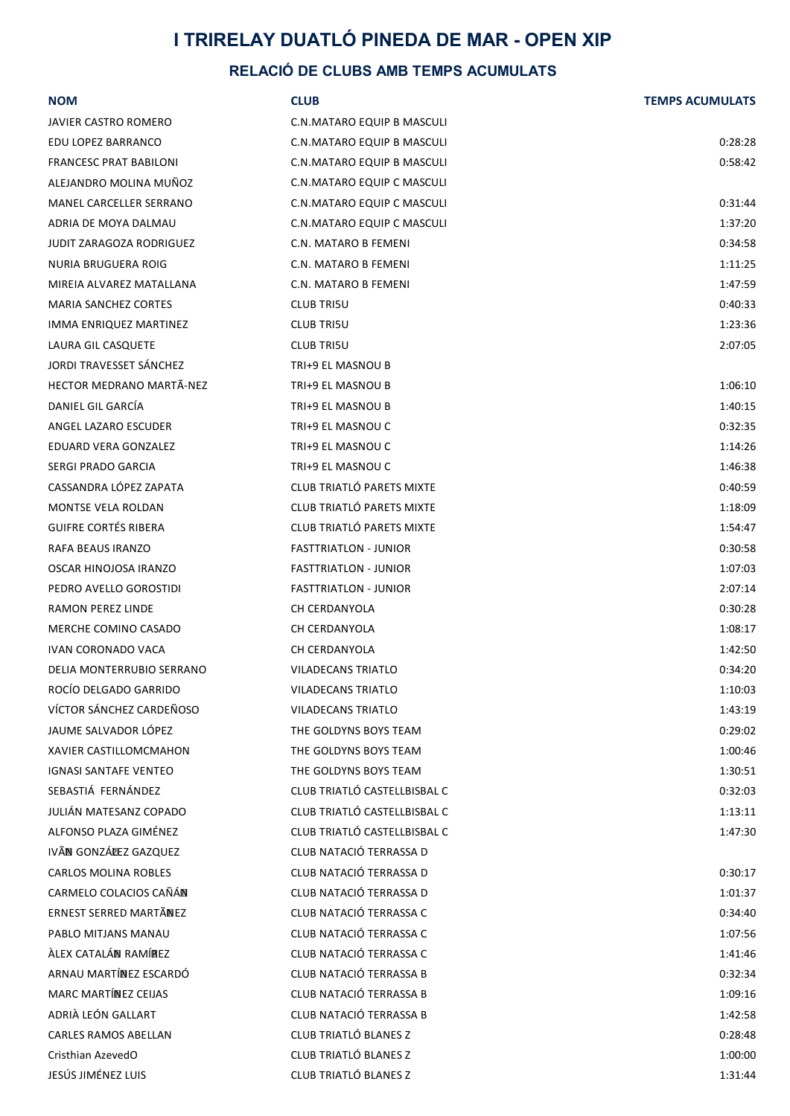# **I TRIRELAY DUATLÓ PINEDA DE MAR - OPEN XIP**

# **RELACIÓ DE CLUBS AMB TEMPS ACUMULATS**

| <b>NOM</b>                    | <b>CLUB</b>                       | <b>TEMPS ACUMULATS</b> |
|-------------------------------|-----------------------------------|------------------------|
| JAVIER CASTRO ROMERO          | C.N.MATARO EQUIP B MASCULI        |                        |
| EDU LOPEZ BARRANCO            | C.N.MATARO EQUIP B MASCULI        | 0:28:28                |
| <b>FRANCESC PRAT BABILONI</b> | C.N.MATARO EQUIP B MASCULI        | 0:58:42                |
| ALEJANDRO MOLINA MUÑOZ        | C.N.MATARO EQUIP C MASCULI        |                        |
| MANEL CARCELLER SERRANO       | C.N.MATARO EQUIP C MASCULI        | 0:31:44                |
| ADRIA DE MOYA DALMAU          | <b>C.N.MATARO EQUIP C MASCULI</b> | 1:37:20                |
| JUDIT ZARAGOZA RODRIGUEZ      | C.N. MATARO B FEMENI              | 0:34:58                |
| NURIA BRUGUERA ROIG           | C.N. MATARO B FEMENI              | 1:11:25                |
| MIREIA ALVAREZ MATALLANA      | C.N. MATARO B FEMENI              | 1:47:59                |
| <b>MARIA SANCHEZ CORTES</b>   | <b>CLUB TRI5U</b>                 | 0:40:33                |
| IMMA ENRIQUEZ MARTINEZ        | <b>CLUB TRI5U</b>                 | 1:23:36                |
| LAURA GIL CASQUETE            | <b>CLUB TRI5U</b>                 | 2:07:05                |
| JORDI TRAVESSET SANCHEZ       | TRI+9 EL MASNOU B                 |                        |
| HECTOR MEDRANO MARTÃ-NEZ      | TRI+9 EL MASNOU B                 | 1:06:10                |
| DANIEL GIL GARCÍA             | TRI+9 EL MASNOU B                 | 1:40:15                |
| ANGEL LAZARO ESCUDER          | TRI+9 EL MASNOU C                 | 0:32:35                |
| EDUARD VERA GONZALEZ          | TRI+9 EL MASNOU C                 | 1:14:26                |
| SERGI PRADO GARCIA            | TRI+9 EL MASNOU C                 | 1:46:38                |
| CASSANDRA LÓPEZ ZAPATA        | CLUB TRIATLÓ PARETS MIXTE         | 0:40:59                |
| MONTSE VELA ROLDAN            | CLUB TRIATLÓ PARETS MIXTE         | 1:18:09                |
| <b>GUIFRE CORTÉS RIBERA</b>   | CLUB TRIATLÓ PARETS MIXTE         | 1:54:47                |
| RAFA BEAUS IRANZO             | <b>FASTTRIATLON - JUNIOR</b>      | 0:30:58                |
| OSCAR HINOJOSA IRANZO         | <b>FASTTRIATLON - JUNIOR</b>      | 1:07:03                |
| PEDRO AVELLO GOROSTIDI        | <b>FASTTRIATLON - JUNIOR</b>      | 2:07:14                |
| RAMON PEREZ LINDE             | CH CERDANYOLA                     | 0:30:28                |
| MERCHE COMINO CASADO          | CH CERDANYOLA                     | 1:08:17                |
| <b>IVAN CORONADO VACA</b>     | CH CERDANYOLA                     | 1:42:50                |
| DELIA MONTERRUBIO SERRANO     | <b>VILADECANS TRIATLO</b>         | 0:34:20                |
| ROCÍO DELGADO GARRIDO         | <b>VILADECANS TRIATLO</b>         | 1:10:03                |
| VÍCTOR SÁNCHEZ CARDEÑOSO      | <b>VILADECANS TRIATLO</b>         | 1:43:19                |
| JAUME SALVADOR LÓPEZ          | THE GOLDYNS BOYS TEAM             | 0:29:02                |
| <b>XAVIER CASTILLOMCMAHON</b> | THE GOLDYNS BOYS TEAM             | 1:00:46                |
| <b>IGNASI SANTAFE VENTEO</b>  | THE GOLDYNS BOYS TEAM             | 1:30:51                |
| SEBASTIÁ FERNÁNDEZ            | CLUB TRIATLÓ CASTELLBISBAL C      | 0:32:03                |
| JULIÁN MATESANZ COPADO        | CLUB TRIATLÓ CASTELLBISBAL C      | 1:13:11                |
| ALFONSO PLAZA GIMÉNEZ         | CLUB TRIATLÓ CASTELLBISBAL C      | 1:47:30                |
| IVÃN GONZÁLEZ GAZQUEZ         | CLUB NATACIÓ TERRASSA D           |                        |
| <b>CARLOS MOLINA ROBLES</b>   | CLUB NATACIÓ TERRASSA D           | 0:30:17                |
| CARMELO COLACIOS CAÑÁN        | CLUB NATACIÓ TERRASSA D           | 1:01:37                |
| ERNEST SERRED MARTÃNEZ        | CLUB NATACIÓ TERRASSA C           | 0:34:40                |
| PABLO MITJANS MANAU           | CLUB NATACIÓ TERRASSA C           | 1:07:56                |
| ÀLEX CATALÁN RAMÍREZ          | CLUB NATACIÓ TERRASSA C           | 1:41:46                |
| ARNAU MARTÍNEZ ESCARDÓ        | CLUB NATACIÓ TERRASSA B           | 0:32:34                |
| <b>MARC MARTÍNEZ CEIJAS</b>   | CLUB NATACIÓ TERRASSA B           | 1:09:16                |
| ADRIÀ LEÓN GALLART            | CLUB NATACIÓ TERRASSA B           | 1:42:58                |
| <b>CARLES RAMOS ABELLAN</b>   | CLUB TRIATLÓ BLANES Z             | 0:28:48                |
| Cristhian AzevedO             | CLUB TRIATLÓ BLANES Z             | 1:00:00                |
| JESÚS JIMÉNEZ LUIS            | CLUB TRIATLÓ BLANES Z             | 1:31:44                |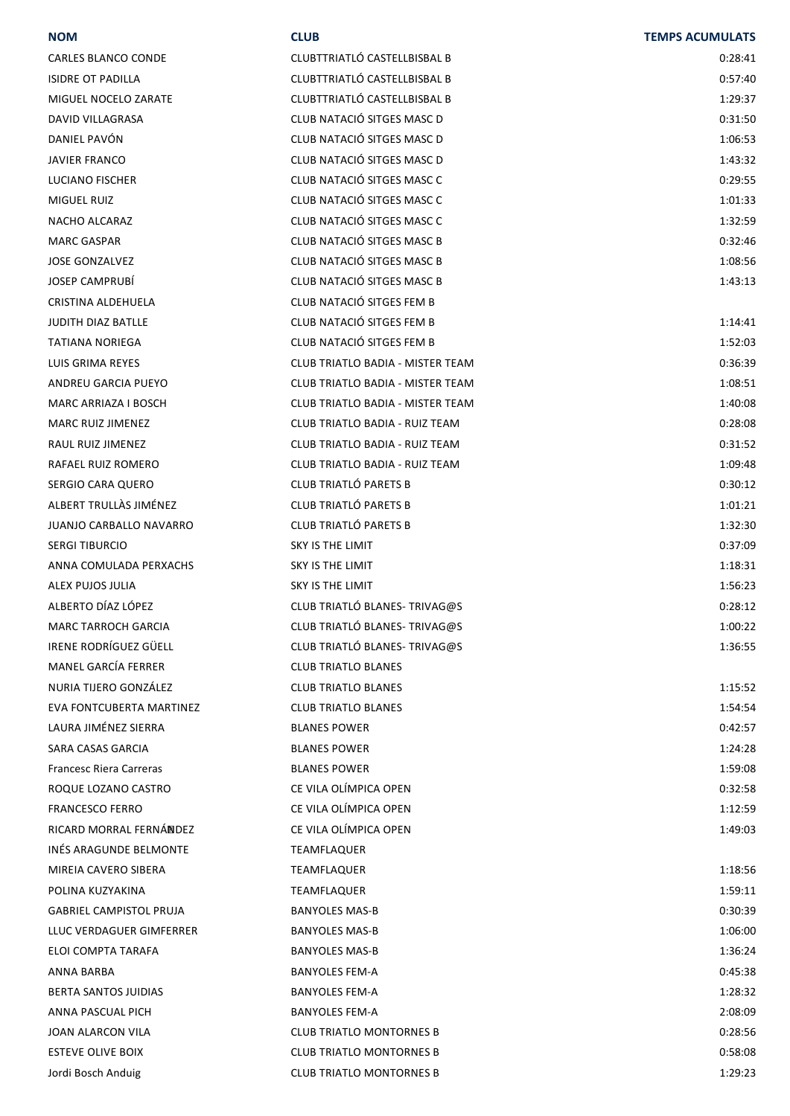#### **NOM CLUB TEMPS ACUMULATS**

| CARLES BLANCO CONDE      | CLUBTTRIATLÓ CASTELLBISBAL B          | 0:28:41 |
|--------------------------|---------------------------------------|---------|
| ISIDRE OT PADILLA        | CLUBTTRIATLÓ CASTELLBISBAL B          | 0:57:40 |
| MIGUEL NOCELO ZARATE     | CLUBTTRIATLÓ CASTELLBISBAL B          | 1:29:37 |
| DAVID VILLAGRASA         | CLUB NATACIÓ SITGES MASC D            | 0:31:50 |
| DANIEL PAVÓN             | CLUB NATACIÓ SITGES MASC D            | 1:06:53 |
| JAVIER FRANCO            | CLUB NATACIÓ SITGES MASC D            | 1:43:32 |
| LUCIANO FISCHER          | CLUB NATACIÓ SITGES MASC C            | 0:29:55 |
| MIGUEL RUIZ              | CLUB NATACIÓ SITGES MASC C            | 1:01:33 |
| NACHO ALCARAZ            | CLUB NATACIÓ SITGES MASC C            | 1:32:59 |
| MARC GASPAR              | CLUB NATACIÓ SITGES MASC B            | 0:32:46 |
| JOSE GONZALVEZ           | CLUB NATACIÓ SITGES MASC B            | 1:08:56 |
| JOSEP CAMPRUBI           | CLUB NATACIÓ SITGES MASC B            | 1:43:13 |
| CRISTINA ALDEHUELA       | CLUB NATACIÓ SITGES FEM B             |         |
| JUDITH DIAZ BATLLE       | CLUB NATACIÓ SITGES FEM B             | 1:14:41 |
| TATIANA NORIEGA          | CLUB NATACIÓ SITGES FEM B             | 1:52:03 |
| LUIS GRIMA REYES         | CLUB TRIATLO BADIA - MISTER TEAM      | 0:36:39 |
| ANDREU GARCIA PUEYO      | CLUB TRIATLO BADIA - MISTER TEAM      | 1:08:51 |
| MARC ARRIAZA I BOSCH     | CLUB TRIATLO BADIA - MISTER TEAM      | 1:40:08 |
| MARC RUIZ JIMENEZ        | CLUB TRIATLO BADIA - RUIZ TEAM        | 0:28:08 |
| RAUL RUIZ JIMENEZ        | <b>CLUB TRIATLO BADIA - RUIZ TEAM</b> | 0:31:52 |
| RAFAEL RUIZ ROMERO       | CLUB TRIATLO BADIA - RUIZ TEAM        | 1:09:48 |
| SERGIO CARA QUERO        | CLUB TRIATLÓ PARETS B                 | 0:30:12 |
| ALBERT TRULLÀS JIMÉNEZ   | <b>CLUB TRIATLÓ PARETS B</b>          | 1:01:21 |
| JUANJO CARBALLO NAVARRO  | <b>CLUB TRIATLÓ PARETS B</b>          | 1:32:30 |
| SERGI TIBURCIO           | SKY IS THE LIMIT                      | 0:37:09 |
| ANNA COMULADA PERXACHS   | <b>SKY IS THE LIMIT</b>               | 1:18:31 |
| ALEX PUJOS JULIA         | SKY IS THE LIMIT                      | 1:56:23 |
| ALBERTO DÍAZ LÓPEZ       | CLUB TRIATLÓ BLANES- TRIVAG@S         | 0:28:12 |
| MARC TARROCH GARCIA      | CLUB TRIATLÓ BLANES- TRIVAG@S         | 1:00:22 |
| IRENE RODRÍGUEZ GÜELL    | CLUB TRIATLÓ BLANES- TRIVAG@S         | 1:36:55 |
| MANEL GARCÍA FERRER      | <b>CLUB TRIATLO BLANES</b>            |         |
| NURIA TIJERO GONZÁLEZ    | <b>CLUB TRIATLO BLANES</b>            | 1:15:52 |
| EVA FONTCUBERTA MARTINEZ | <b>CLUB TRIATLO BLANES</b>            | 1:54:54 |
| LAURA JIMÉNEZ SIERRA     | <b>BLANES POWER</b>                   | 0:42:57 |
| SARA CASAS GARCIA        | <b>BLANES POWER</b>                   | 1:24:28 |
| Francesc Riera Carreras  | <b>BLANES POWER</b>                   | 1:59:08 |
| ROQUE LOZANO CASTRO      | CE VILA OLÍMPICA OPEN                 | 0:32:58 |
| FRANCESCO FERRO          | CE VILA OLÍMPICA OPEN                 | 1:12:59 |
| RICARD MORRAL FERNÁNDEZ  | CE VILA OLÍMPICA OPEN                 | 1:49:03 |
| INÉS ARAGUNDE BELMONTE   | TEAMFLAQUER                           |         |
| MIREIA CAVERO SIBERA     | TEAMFLAQUER                           | 1:18:56 |
| POLINA KUZYAKINA         | TEAMFLAQUER                           | 1:59:11 |
| GABRIEL CAMPISTOL PRUJA  | <b>BANYOLES MAS-B</b>                 | 0:30:39 |
| LLUC VERDAGUER GIMFERRER | <b>BANYOLES MAS-B</b>                 | 1:06:00 |
| ELOI COMPTA TARAFA       | <b>BANYOLES MAS-B</b>                 | 1:36:24 |
| ANNA BARBA               | <b>BANYOLES FEM-A</b>                 | 0:45:38 |
| BERTA SANTOS JUIDIAS     | <b>BANYOLES FEM-A</b>                 | 1:28:32 |
| ANNA PASCUAL PICH        | <b>BANYOLES FEM-A</b>                 | 2:08:09 |
| JOAN ALARCON VILA        | <b>CLUB TRIATLO MONTORNES B</b>       | 0:28:56 |
| ESTEVE OLIVE BOIX        | <b>CLUB TRIATLO MONTORNES B</b>       | 0:58:08 |
| Jordi Bosch Anduig       | <b>CLUB TRIATLO MONTORNES B</b>       | 1:29:23 |
|                          |                                       |         |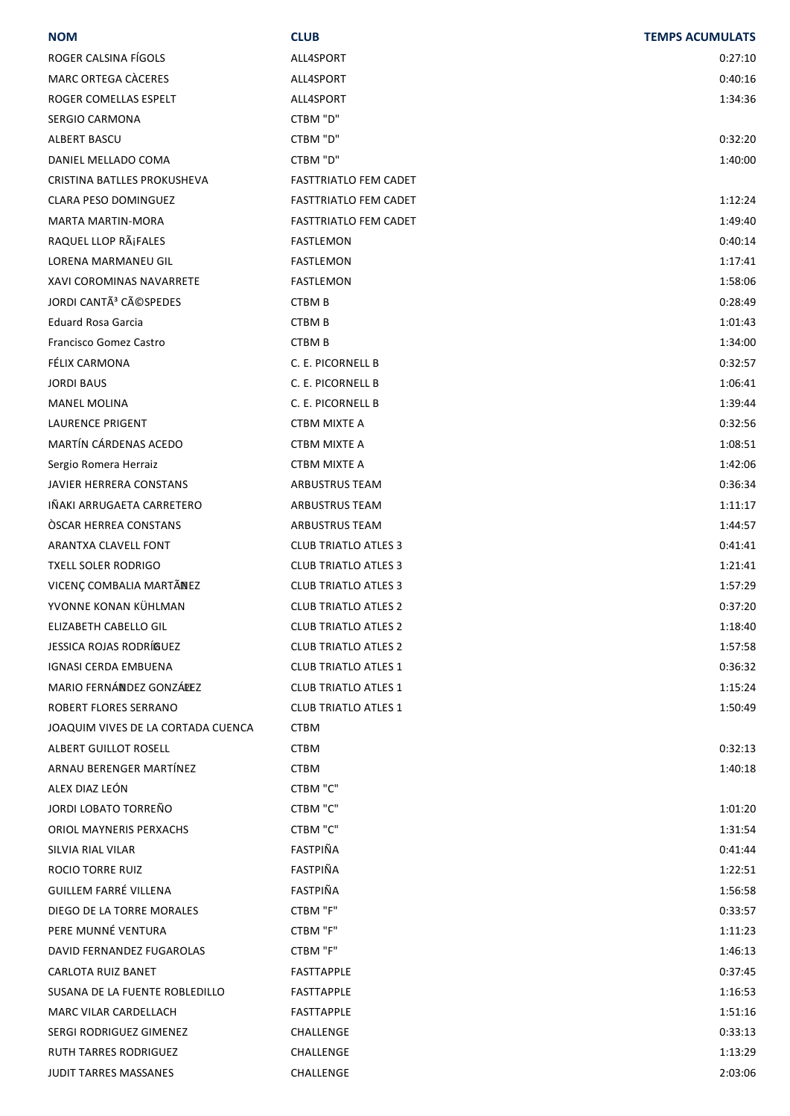| <b>NOM</b>                         | <b>CLUB</b>                  | <b>TEMPS ACUMULATS</b> |
|------------------------------------|------------------------------|------------------------|
| ROGER CALSINA FÍGOLS               | ALL4SPORT                    | 0:27:10                |
| MARC ORTEGA CÀCERES                | ALL4SPORT                    | 0:40:16                |
| ROGER COMELLAS ESPELT              | ALL4SPORT                    | 1:34:36                |
| <b>SERGIO CARMONA</b>              | CTBM "D"                     |                        |
| ALBERT BASCU                       | CTBM "D"                     | 0:32:20                |
| DANIEL MELLADO COMA                | CTBM "D"                     | 1:40:00                |
| CRISTINA BATLLES PROKUSHEVA        | <b>FASTTRIATLO FEM CADET</b> |                        |
| CLARA PESO DOMINGUEZ               | <b>FASTTRIATLO FEM CADET</b> | 1:12:24                |
| MARTA MARTIN-MORA                  | FASTTRIATLO FEM CADET        | 1:49:40                |
| RAQUEL LLOP RáFALES                | FASTLEMON                    | 0:40:14                |
| <b>LORENA MARMANEU GIL</b>         | FASTLEMON                    | 1:17:41                |
| XAVI COROMINAS NAVARRETE           | <b>FASTLEMON</b>             | 1:58:06                |
| JORDI CANTÃ <sup>3</sup> CéSPEDES  | CTBM B                       | 0:28:49                |
| <b>Eduard Rosa Garcia</b>          | CTBM B                       | 1:01:43                |
| Francisco Gomez Castro             | CTBM B                       | 1:34:00                |
| FÉLIX CARMONA                      | C. E. PICORNELL B            | 0:32:57                |
| <b>JORDI BAUS</b>                  | C. E. PICORNELL B            | 1:06:41                |
| <b>MANEL MOLINA</b>                | C. E. PICORNELL B            | 1:39:44                |
| LAURENCE PRIGENT                   | CTBM MIXTE A                 | 0:32:56                |
| MARTÍN CÁRDENAS ACEDO              | <b>CTBM MIXTE A</b>          | 1:08:51                |
| Sergio Romera Herraiz              | <b>CTBM MIXTE A</b>          | 1:42:06                |
| JAVIER HERRERA CONSTANS            | ARBUSTRUS TEAM               | 0:36:34                |
| IÑAKI ARRUGAETA CARRETERO          | <b>ARBUSTRUS TEAM</b>        | 1:11:17                |
| <b>OSCAR HERREA CONSTANS</b>       | ARBUSTRUS TEAM               | 1:44:57                |
| ARANTXA CLAVELL FONT               | <b>CLUB TRIATLO ATLES 3</b>  | 0:41:41                |
| <b>TXELL SOLER RODRIGO</b>         | <b>CLUB TRIATLO ATLES 3</b>  | 1:21:41                |
| VICENÇ COMBALIA MARTÃNEZ           | <b>CLUB TRIATLO ATLES 3</b>  | 1:57:29                |
| YVONNE KONAN KÜHLMAN               | <b>CLUB TRIATLO ATLES 2</b>  | 0:37:20                |
| ELIZABETH CABELLO GIL              | CLUB TRIATLO ATLES 2         | 1:18:40                |
| JESSICA ROJAS RODRÍGUEZ            | <b>CLUB TRIATLO ATLES 2</b>  | 1:57:58                |
| <b>IGNASI CERDA EMBUENA</b>        | <b>CLUB TRIATLO ATLES 1</b>  | 0:36:32                |
| MARIO FERNÁNDEZ GONZÁLEZ           | <b>CLUB TRIATLO ATLES 1</b>  | 1:15:24                |
| ROBERT FLORES SERRANO              | <b>CLUB TRIATLO ATLES 1</b>  | 1:50:49                |
| JOAQUIM VIVES DE LA CORTADA CUENCA | <b>CTBM</b>                  |                        |
| ALBERT GUILLOT ROSELL              | <b>CTBM</b>                  | 0:32:13                |
| ARNAU BERENGER MARTÍNEZ            | <b>CTBM</b>                  | 1:40:18                |
| ALEX DIAZ LEÓN                     | CTBM "C"                     |                        |
| JORDI LOBATO TORREÑO               | CTBM "C"                     | 1:01:20                |
| ORIOL MAYNERIS PERXACHS            | CTBM "C"                     | 1:31:54                |
| SILVIA RIAL VILAR                  | FASTPIÑA                     | 0:41:44                |
| <b>ROCIO TORRE RUIZ</b>            | <b>FASTPIÑA</b>              | 1:22:51                |
| <b>GUILLEM FARRÉ VILLENA</b>       | FASTPIÑA                     | 1:56:58                |
| DIEGO DE LA TORRE MORALES          | CTBM "F"                     | 0:33:57                |
| PERE MUNNÉ VENTURA                 | CTBM "F"                     | 1:11:23                |
| DAVID FERNANDEZ FUGAROLAS          | CTBM "F"                     | 1:46:13                |
| CARLOTA RUIZ BANET                 | FASTTAPPLE                   | 0:37:45                |
| SUSANA DE LA FUENTE ROBLEDILLO     | FASTTAPPLE                   | 1:16:53                |
| MARC VILAR CARDELLACH              | FASTTAPPLE                   | 1:51:16                |
| SERGI RODRIGUEZ GIMENEZ            |                              | 0:33:13                |
| <b>RUTH TARRES RODRIGUEZ</b>       | CHALLENGE<br>CHALLENGE       | 1:13:29                |
| JUDIT TARRES MASSANES              | CHALLENGE                    | 2:03:06                |
|                                    |                              |                        |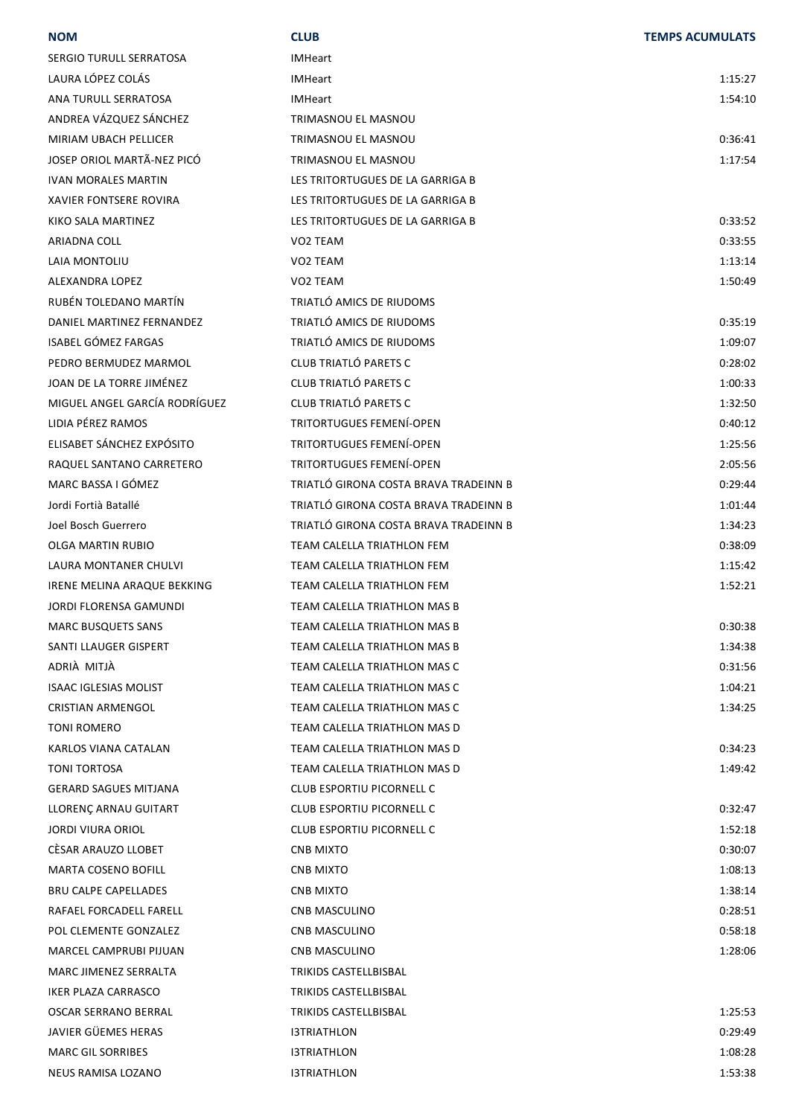| LAURA LÓPEZ COLÁS<br>1:15:27<br><b>IMHeart</b><br>ANA TURULL SERRATOSA<br><b>IMHeart</b><br>1:54:10<br>ANDREA VÁZQUEZ SÁNCHEZ<br>TRIMASNOU EL MASNOU<br>MIRIAM UBACH PELLICER<br>TRIMASNOU EL MASNOU<br>0:36:41<br>JOSEP ORIOL MARTÃ-NEZ PICÓ<br>TRIMASNOU EL MASNOU<br>1:17:54<br><b>IVAN MORALES MARTIN</b><br>LES TRITORTUGUES DE LA GARRIGA B<br><b>XAVIER FONTSERE ROVIRA</b><br>LES TRITORTUGUES DE LA GARRIGA B<br>LES TRITORTUGUES DE LA GARRIGA B<br>0:33:52<br>KIKO SALA MARTINEZ<br>0:33:55<br>ARIADNA COLL<br>VO2 TEAM<br>1:13:14<br>LAIA MONTOLIU<br>VO <sub>2</sub> TEAM<br>1:50:49<br>ALEXANDRA LOPEZ<br>VO <sub>2</sub> TEAM<br>RUBÉN TOLEDANO MARTÍN<br>TRIATLÓ AMICS DE RIUDOMS<br>TRIATLÓ AMICS DE RIUDOMS<br>DANIEL MARTINEZ FERNANDEZ<br>0:35:19<br><b>ISABEL GÓMEZ FARGAS</b><br>TRIATLÓ AMICS DE RIUDOMS<br>1:09:07<br>CLUB TRIATLÓ PARETS C<br>PEDRO BERMUDEZ MARMOL<br>0:28:02<br>JOAN DE LA TORRE JIMÉNEZ<br>CLUB TRIATLÓ PARETS C<br>1:00:33<br>MIGUEL ANGEL GARCÍA RODRÍGUEZ<br>CLUB TRIATLÓ PARETS C<br>1:32:50<br>LIDIA PÉREZ RAMOS<br><b>TRITORTUGUES FEMENÍ-OPEN</b><br>0:40:12<br>ELISABET SÁNCHEZ EXPÓSITO<br>TRITORTUGUES FEMENÍ-OPEN<br>1:25:56<br><b>TRITORTUGUES FEMENÍ-OPEN</b><br>RAQUEL SANTANO CARRETERO<br>2:05:56<br>MARC BASSA I GÓMEZ<br>TRIATLÓ GIRONA COSTA BRAVA TRADEINN B<br>0:29:44<br>TRIATLÓ GIRONA COSTA BRAVA TRADEINN B<br>Jordi Fortià Batallé<br>1:01:44<br>TRIATLÓ GIRONA COSTA BRAVA TRADEINN B<br>Joel Bosch Guerrero<br>1:34:23<br>OLGA MARTIN RUBIO<br>TEAM CALELLA TRIATHLON FEM<br>0:38:09<br>TEAM CALELLA TRIATHLON FEM<br>LAURA MONTANER CHULVI<br>1:15:42<br>IRENE MELINA ARAQUE BEKKING<br>TEAM CALELLA TRIATHLON FEM<br>1:52:21<br>TEAM CALELLA TRIATHLON MAS B<br>JORDI FLORENSA GAMUNDI<br><b>MARC BUSQUETS SANS</b><br>TEAM CALELLA TRIATHLON MAS B<br>0:30:38<br>SANTI LLAUGER GISPERT<br>TEAM CALELLA TRIATHLON MAS B<br>1:34:38<br>ADRIÀ MITJÀ<br>TEAM CALELLA TRIATHLON MAS C<br>0:31:56<br><b>ISAAC IGLESIAS MOLIST</b><br>TEAM CALELLA TRIATHLON MAS C<br>1:04:21<br><b>CRISTIAN ARMENGOL</b><br>TEAM CALELLA TRIATHLON MAS C<br>1:34:25<br>TEAM CALELLA TRIATHLON MAS D<br><b>TONI ROMERO</b><br>TEAM CALELLA TRIATHLON MAS D<br>KARLOS VIANA CATALAN<br>0:34:23<br>TEAM CALELLA TRIATHLON MAS D<br>1:49:42<br><b>TONI TORTOSA</b><br><b>GERARD SAGUES MITJANA</b><br>CLUB ESPORTIU PICORNELL C<br>CLUB ESPORTIU PICORNELL C<br>LLORENÇ ARNAU GUITART<br>0:32:47<br><b>CLUB ESPORTIU PICORNELL C</b><br><b>JORDI VIURA ORIOL</b><br>1:52:18<br>CÉSAR ARAUZO LLOBET<br>0:30:07<br><b>CNB MIXTO</b><br><b>MARTA COSENO BOFILL</b><br>1:08:13<br><b>CNB MIXTO</b> |
|-------------------------------------------------------------------------------------------------------------------------------------------------------------------------------------------------------------------------------------------------------------------------------------------------------------------------------------------------------------------------------------------------------------------------------------------------------------------------------------------------------------------------------------------------------------------------------------------------------------------------------------------------------------------------------------------------------------------------------------------------------------------------------------------------------------------------------------------------------------------------------------------------------------------------------------------------------------------------------------------------------------------------------------------------------------------------------------------------------------------------------------------------------------------------------------------------------------------------------------------------------------------------------------------------------------------------------------------------------------------------------------------------------------------------------------------------------------------------------------------------------------------------------------------------------------------------------------------------------------------------------------------------------------------------------------------------------------------------------------------------------------------------------------------------------------------------------------------------------------------------------------------------------------------------------------------------------------------------------------------------------------------------------------------------------------------------------------------------------------------------------------------------------------------------------------------------------------------------------------------------------------------------------------------------------------------------------------------------------------------------------------------------------------------------------------------------------------------------------------------------------------------------------------------------------------------------------------------------------------------------------------------------|
|                                                                                                                                                                                                                                                                                                                                                                                                                                                                                                                                                                                                                                                                                                                                                                                                                                                                                                                                                                                                                                                                                                                                                                                                                                                                                                                                                                                                                                                                                                                                                                                                                                                                                                                                                                                                                                                                                                                                                                                                                                                                                                                                                                                                                                                                                                                                                                                                                                                                                                                                                                                                                                                 |
|                                                                                                                                                                                                                                                                                                                                                                                                                                                                                                                                                                                                                                                                                                                                                                                                                                                                                                                                                                                                                                                                                                                                                                                                                                                                                                                                                                                                                                                                                                                                                                                                                                                                                                                                                                                                                                                                                                                                                                                                                                                                                                                                                                                                                                                                                                                                                                                                                                                                                                                                                                                                                                                 |
|                                                                                                                                                                                                                                                                                                                                                                                                                                                                                                                                                                                                                                                                                                                                                                                                                                                                                                                                                                                                                                                                                                                                                                                                                                                                                                                                                                                                                                                                                                                                                                                                                                                                                                                                                                                                                                                                                                                                                                                                                                                                                                                                                                                                                                                                                                                                                                                                                                                                                                                                                                                                                                                 |
|                                                                                                                                                                                                                                                                                                                                                                                                                                                                                                                                                                                                                                                                                                                                                                                                                                                                                                                                                                                                                                                                                                                                                                                                                                                                                                                                                                                                                                                                                                                                                                                                                                                                                                                                                                                                                                                                                                                                                                                                                                                                                                                                                                                                                                                                                                                                                                                                                                                                                                                                                                                                                                                 |
|                                                                                                                                                                                                                                                                                                                                                                                                                                                                                                                                                                                                                                                                                                                                                                                                                                                                                                                                                                                                                                                                                                                                                                                                                                                                                                                                                                                                                                                                                                                                                                                                                                                                                                                                                                                                                                                                                                                                                                                                                                                                                                                                                                                                                                                                                                                                                                                                                                                                                                                                                                                                                                                 |
|                                                                                                                                                                                                                                                                                                                                                                                                                                                                                                                                                                                                                                                                                                                                                                                                                                                                                                                                                                                                                                                                                                                                                                                                                                                                                                                                                                                                                                                                                                                                                                                                                                                                                                                                                                                                                                                                                                                                                                                                                                                                                                                                                                                                                                                                                                                                                                                                                                                                                                                                                                                                                                                 |
|                                                                                                                                                                                                                                                                                                                                                                                                                                                                                                                                                                                                                                                                                                                                                                                                                                                                                                                                                                                                                                                                                                                                                                                                                                                                                                                                                                                                                                                                                                                                                                                                                                                                                                                                                                                                                                                                                                                                                                                                                                                                                                                                                                                                                                                                                                                                                                                                                                                                                                                                                                                                                                                 |
|                                                                                                                                                                                                                                                                                                                                                                                                                                                                                                                                                                                                                                                                                                                                                                                                                                                                                                                                                                                                                                                                                                                                                                                                                                                                                                                                                                                                                                                                                                                                                                                                                                                                                                                                                                                                                                                                                                                                                                                                                                                                                                                                                                                                                                                                                                                                                                                                                                                                                                                                                                                                                                                 |
|                                                                                                                                                                                                                                                                                                                                                                                                                                                                                                                                                                                                                                                                                                                                                                                                                                                                                                                                                                                                                                                                                                                                                                                                                                                                                                                                                                                                                                                                                                                                                                                                                                                                                                                                                                                                                                                                                                                                                                                                                                                                                                                                                                                                                                                                                                                                                                                                                                                                                                                                                                                                                                                 |
|                                                                                                                                                                                                                                                                                                                                                                                                                                                                                                                                                                                                                                                                                                                                                                                                                                                                                                                                                                                                                                                                                                                                                                                                                                                                                                                                                                                                                                                                                                                                                                                                                                                                                                                                                                                                                                                                                                                                                                                                                                                                                                                                                                                                                                                                                                                                                                                                                                                                                                                                                                                                                                                 |
|                                                                                                                                                                                                                                                                                                                                                                                                                                                                                                                                                                                                                                                                                                                                                                                                                                                                                                                                                                                                                                                                                                                                                                                                                                                                                                                                                                                                                                                                                                                                                                                                                                                                                                                                                                                                                                                                                                                                                                                                                                                                                                                                                                                                                                                                                                                                                                                                                                                                                                                                                                                                                                                 |
|                                                                                                                                                                                                                                                                                                                                                                                                                                                                                                                                                                                                                                                                                                                                                                                                                                                                                                                                                                                                                                                                                                                                                                                                                                                                                                                                                                                                                                                                                                                                                                                                                                                                                                                                                                                                                                                                                                                                                                                                                                                                                                                                                                                                                                                                                                                                                                                                                                                                                                                                                                                                                                                 |
|                                                                                                                                                                                                                                                                                                                                                                                                                                                                                                                                                                                                                                                                                                                                                                                                                                                                                                                                                                                                                                                                                                                                                                                                                                                                                                                                                                                                                                                                                                                                                                                                                                                                                                                                                                                                                                                                                                                                                                                                                                                                                                                                                                                                                                                                                                                                                                                                                                                                                                                                                                                                                                                 |
|                                                                                                                                                                                                                                                                                                                                                                                                                                                                                                                                                                                                                                                                                                                                                                                                                                                                                                                                                                                                                                                                                                                                                                                                                                                                                                                                                                                                                                                                                                                                                                                                                                                                                                                                                                                                                                                                                                                                                                                                                                                                                                                                                                                                                                                                                                                                                                                                                                                                                                                                                                                                                                                 |
|                                                                                                                                                                                                                                                                                                                                                                                                                                                                                                                                                                                                                                                                                                                                                                                                                                                                                                                                                                                                                                                                                                                                                                                                                                                                                                                                                                                                                                                                                                                                                                                                                                                                                                                                                                                                                                                                                                                                                                                                                                                                                                                                                                                                                                                                                                                                                                                                                                                                                                                                                                                                                                                 |
|                                                                                                                                                                                                                                                                                                                                                                                                                                                                                                                                                                                                                                                                                                                                                                                                                                                                                                                                                                                                                                                                                                                                                                                                                                                                                                                                                                                                                                                                                                                                                                                                                                                                                                                                                                                                                                                                                                                                                                                                                                                                                                                                                                                                                                                                                                                                                                                                                                                                                                                                                                                                                                                 |
|                                                                                                                                                                                                                                                                                                                                                                                                                                                                                                                                                                                                                                                                                                                                                                                                                                                                                                                                                                                                                                                                                                                                                                                                                                                                                                                                                                                                                                                                                                                                                                                                                                                                                                                                                                                                                                                                                                                                                                                                                                                                                                                                                                                                                                                                                                                                                                                                                                                                                                                                                                                                                                                 |
|                                                                                                                                                                                                                                                                                                                                                                                                                                                                                                                                                                                                                                                                                                                                                                                                                                                                                                                                                                                                                                                                                                                                                                                                                                                                                                                                                                                                                                                                                                                                                                                                                                                                                                                                                                                                                                                                                                                                                                                                                                                                                                                                                                                                                                                                                                                                                                                                                                                                                                                                                                                                                                                 |
|                                                                                                                                                                                                                                                                                                                                                                                                                                                                                                                                                                                                                                                                                                                                                                                                                                                                                                                                                                                                                                                                                                                                                                                                                                                                                                                                                                                                                                                                                                                                                                                                                                                                                                                                                                                                                                                                                                                                                                                                                                                                                                                                                                                                                                                                                                                                                                                                                                                                                                                                                                                                                                                 |
|                                                                                                                                                                                                                                                                                                                                                                                                                                                                                                                                                                                                                                                                                                                                                                                                                                                                                                                                                                                                                                                                                                                                                                                                                                                                                                                                                                                                                                                                                                                                                                                                                                                                                                                                                                                                                                                                                                                                                                                                                                                                                                                                                                                                                                                                                                                                                                                                                                                                                                                                                                                                                                                 |
|                                                                                                                                                                                                                                                                                                                                                                                                                                                                                                                                                                                                                                                                                                                                                                                                                                                                                                                                                                                                                                                                                                                                                                                                                                                                                                                                                                                                                                                                                                                                                                                                                                                                                                                                                                                                                                                                                                                                                                                                                                                                                                                                                                                                                                                                                                                                                                                                                                                                                                                                                                                                                                                 |
|                                                                                                                                                                                                                                                                                                                                                                                                                                                                                                                                                                                                                                                                                                                                                                                                                                                                                                                                                                                                                                                                                                                                                                                                                                                                                                                                                                                                                                                                                                                                                                                                                                                                                                                                                                                                                                                                                                                                                                                                                                                                                                                                                                                                                                                                                                                                                                                                                                                                                                                                                                                                                                                 |
|                                                                                                                                                                                                                                                                                                                                                                                                                                                                                                                                                                                                                                                                                                                                                                                                                                                                                                                                                                                                                                                                                                                                                                                                                                                                                                                                                                                                                                                                                                                                                                                                                                                                                                                                                                                                                                                                                                                                                                                                                                                                                                                                                                                                                                                                                                                                                                                                                                                                                                                                                                                                                                                 |
|                                                                                                                                                                                                                                                                                                                                                                                                                                                                                                                                                                                                                                                                                                                                                                                                                                                                                                                                                                                                                                                                                                                                                                                                                                                                                                                                                                                                                                                                                                                                                                                                                                                                                                                                                                                                                                                                                                                                                                                                                                                                                                                                                                                                                                                                                                                                                                                                                                                                                                                                                                                                                                                 |
|                                                                                                                                                                                                                                                                                                                                                                                                                                                                                                                                                                                                                                                                                                                                                                                                                                                                                                                                                                                                                                                                                                                                                                                                                                                                                                                                                                                                                                                                                                                                                                                                                                                                                                                                                                                                                                                                                                                                                                                                                                                                                                                                                                                                                                                                                                                                                                                                                                                                                                                                                                                                                                                 |
|                                                                                                                                                                                                                                                                                                                                                                                                                                                                                                                                                                                                                                                                                                                                                                                                                                                                                                                                                                                                                                                                                                                                                                                                                                                                                                                                                                                                                                                                                                                                                                                                                                                                                                                                                                                                                                                                                                                                                                                                                                                                                                                                                                                                                                                                                                                                                                                                                                                                                                                                                                                                                                                 |
|                                                                                                                                                                                                                                                                                                                                                                                                                                                                                                                                                                                                                                                                                                                                                                                                                                                                                                                                                                                                                                                                                                                                                                                                                                                                                                                                                                                                                                                                                                                                                                                                                                                                                                                                                                                                                                                                                                                                                                                                                                                                                                                                                                                                                                                                                                                                                                                                                                                                                                                                                                                                                                                 |
|                                                                                                                                                                                                                                                                                                                                                                                                                                                                                                                                                                                                                                                                                                                                                                                                                                                                                                                                                                                                                                                                                                                                                                                                                                                                                                                                                                                                                                                                                                                                                                                                                                                                                                                                                                                                                                                                                                                                                                                                                                                                                                                                                                                                                                                                                                                                                                                                                                                                                                                                                                                                                                                 |
|                                                                                                                                                                                                                                                                                                                                                                                                                                                                                                                                                                                                                                                                                                                                                                                                                                                                                                                                                                                                                                                                                                                                                                                                                                                                                                                                                                                                                                                                                                                                                                                                                                                                                                                                                                                                                                                                                                                                                                                                                                                                                                                                                                                                                                                                                                                                                                                                                                                                                                                                                                                                                                                 |
|                                                                                                                                                                                                                                                                                                                                                                                                                                                                                                                                                                                                                                                                                                                                                                                                                                                                                                                                                                                                                                                                                                                                                                                                                                                                                                                                                                                                                                                                                                                                                                                                                                                                                                                                                                                                                                                                                                                                                                                                                                                                                                                                                                                                                                                                                                                                                                                                                                                                                                                                                                                                                                                 |
|                                                                                                                                                                                                                                                                                                                                                                                                                                                                                                                                                                                                                                                                                                                                                                                                                                                                                                                                                                                                                                                                                                                                                                                                                                                                                                                                                                                                                                                                                                                                                                                                                                                                                                                                                                                                                                                                                                                                                                                                                                                                                                                                                                                                                                                                                                                                                                                                                                                                                                                                                                                                                                                 |
|                                                                                                                                                                                                                                                                                                                                                                                                                                                                                                                                                                                                                                                                                                                                                                                                                                                                                                                                                                                                                                                                                                                                                                                                                                                                                                                                                                                                                                                                                                                                                                                                                                                                                                                                                                                                                                                                                                                                                                                                                                                                                                                                                                                                                                                                                                                                                                                                                                                                                                                                                                                                                                                 |
|                                                                                                                                                                                                                                                                                                                                                                                                                                                                                                                                                                                                                                                                                                                                                                                                                                                                                                                                                                                                                                                                                                                                                                                                                                                                                                                                                                                                                                                                                                                                                                                                                                                                                                                                                                                                                                                                                                                                                                                                                                                                                                                                                                                                                                                                                                                                                                                                                                                                                                                                                                                                                                                 |
|                                                                                                                                                                                                                                                                                                                                                                                                                                                                                                                                                                                                                                                                                                                                                                                                                                                                                                                                                                                                                                                                                                                                                                                                                                                                                                                                                                                                                                                                                                                                                                                                                                                                                                                                                                                                                                                                                                                                                                                                                                                                                                                                                                                                                                                                                                                                                                                                                                                                                                                                                                                                                                                 |
|                                                                                                                                                                                                                                                                                                                                                                                                                                                                                                                                                                                                                                                                                                                                                                                                                                                                                                                                                                                                                                                                                                                                                                                                                                                                                                                                                                                                                                                                                                                                                                                                                                                                                                                                                                                                                                                                                                                                                                                                                                                                                                                                                                                                                                                                                                                                                                                                                                                                                                                                                                                                                                                 |
|                                                                                                                                                                                                                                                                                                                                                                                                                                                                                                                                                                                                                                                                                                                                                                                                                                                                                                                                                                                                                                                                                                                                                                                                                                                                                                                                                                                                                                                                                                                                                                                                                                                                                                                                                                                                                                                                                                                                                                                                                                                                                                                                                                                                                                                                                                                                                                                                                                                                                                                                                                                                                                                 |
|                                                                                                                                                                                                                                                                                                                                                                                                                                                                                                                                                                                                                                                                                                                                                                                                                                                                                                                                                                                                                                                                                                                                                                                                                                                                                                                                                                                                                                                                                                                                                                                                                                                                                                                                                                                                                                                                                                                                                                                                                                                                                                                                                                                                                                                                                                                                                                                                                                                                                                                                                                                                                                                 |
|                                                                                                                                                                                                                                                                                                                                                                                                                                                                                                                                                                                                                                                                                                                                                                                                                                                                                                                                                                                                                                                                                                                                                                                                                                                                                                                                                                                                                                                                                                                                                                                                                                                                                                                                                                                                                                                                                                                                                                                                                                                                                                                                                                                                                                                                                                                                                                                                                                                                                                                                                                                                                                                 |
|                                                                                                                                                                                                                                                                                                                                                                                                                                                                                                                                                                                                                                                                                                                                                                                                                                                                                                                                                                                                                                                                                                                                                                                                                                                                                                                                                                                                                                                                                                                                                                                                                                                                                                                                                                                                                                                                                                                                                                                                                                                                                                                                                                                                                                                                                                                                                                                                                                                                                                                                                                                                                                                 |
|                                                                                                                                                                                                                                                                                                                                                                                                                                                                                                                                                                                                                                                                                                                                                                                                                                                                                                                                                                                                                                                                                                                                                                                                                                                                                                                                                                                                                                                                                                                                                                                                                                                                                                                                                                                                                                                                                                                                                                                                                                                                                                                                                                                                                                                                                                                                                                                                                                                                                                                                                                                                                                                 |
| <b>BRU CALPE CAPELLADES</b><br><b>CNB MIXTO</b><br>1:38:14                                                                                                                                                                                                                                                                                                                                                                                                                                                                                                                                                                                                                                                                                                                                                                                                                                                                                                                                                                                                                                                                                                                                                                                                                                                                                                                                                                                                                                                                                                                                                                                                                                                                                                                                                                                                                                                                                                                                                                                                                                                                                                                                                                                                                                                                                                                                                                                                                                                                                                                                                                                      |
| RAFAEL FORCADELL FARELL<br>0:28:51<br>CNB MASCULINO                                                                                                                                                                                                                                                                                                                                                                                                                                                                                                                                                                                                                                                                                                                                                                                                                                                                                                                                                                                                                                                                                                                                                                                                                                                                                                                                                                                                                                                                                                                                                                                                                                                                                                                                                                                                                                                                                                                                                                                                                                                                                                                                                                                                                                                                                                                                                                                                                                                                                                                                                                                             |
| POL CLEMENTE GONZALEZ<br>0:58:18<br>CNB MASCULINO                                                                                                                                                                                                                                                                                                                                                                                                                                                                                                                                                                                                                                                                                                                                                                                                                                                                                                                                                                                                                                                                                                                                                                                                                                                                                                                                                                                                                                                                                                                                                                                                                                                                                                                                                                                                                                                                                                                                                                                                                                                                                                                                                                                                                                                                                                                                                                                                                                                                                                                                                                                               |
| MARCEL CAMPRUBI PIJUAN<br>1:28:06<br>CNB MASCULINO                                                                                                                                                                                                                                                                                                                                                                                                                                                                                                                                                                                                                                                                                                                                                                                                                                                                                                                                                                                                                                                                                                                                                                                                                                                                                                                                                                                                                                                                                                                                                                                                                                                                                                                                                                                                                                                                                                                                                                                                                                                                                                                                                                                                                                                                                                                                                                                                                                                                                                                                                                                              |
| MARC JIMENEZ SERRALTA<br>TRIKIDS CASTELLBISBAL                                                                                                                                                                                                                                                                                                                                                                                                                                                                                                                                                                                                                                                                                                                                                                                                                                                                                                                                                                                                                                                                                                                                                                                                                                                                                                                                                                                                                                                                                                                                                                                                                                                                                                                                                                                                                                                                                                                                                                                                                                                                                                                                                                                                                                                                                                                                                                                                                                                                                                                                                                                                  |
| IKER PLAZA CARRASCO<br>TRIKIDS CASTELLBISBAL                                                                                                                                                                                                                                                                                                                                                                                                                                                                                                                                                                                                                                                                                                                                                                                                                                                                                                                                                                                                                                                                                                                                                                                                                                                                                                                                                                                                                                                                                                                                                                                                                                                                                                                                                                                                                                                                                                                                                                                                                                                                                                                                                                                                                                                                                                                                                                                                                                                                                                                                                                                                    |
| OSCAR SERRANO BERRAL<br>TRIKIDS CASTELLBISBAL<br>1:25:53                                                                                                                                                                                                                                                                                                                                                                                                                                                                                                                                                                                                                                                                                                                                                                                                                                                                                                                                                                                                                                                                                                                                                                                                                                                                                                                                                                                                                                                                                                                                                                                                                                                                                                                                                                                                                                                                                                                                                                                                                                                                                                                                                                                                                                                                                                                                                                                                                                                                                                                                                                                        |
|                                                                                                                                                                                                                                                                                                                                                                                                                                                                                                                                                                                                                                                                                                                                                                                                                                                                                                                                                                                                                                                                                                                                                                                                                                                                                                                                                                                                                                                                                                                                                                                                                                                                                                                                                                                                                                                                                                                                                                                                                                                                                                                                                                                                                                                                                                                                                                                                                                                                                                                                                                                                                                                 |
| JAVIER GÜEMES HERAS<br>0:29:49<br><b>I3TRIATHLON</b>                                                                                                                                                                                                                                                                                                                                                                                                                                                                                                                                                                                                                                                                                                                                                                                                                                                                                                                                                                                                                                                                                                                                                                                                                                                                                                                                                                                                                                                                                                                                                                                                                                                                                                                                                                                                                                                                                                                                                                                                                                                                                                                                                                                                                                                                                                                                                                                                                                                                                                                                                                                            |
| 1:08:28<br><b>MARC GIL SORRIBES</b><br><b>I3TRIATHLON</b>                                                                                                                                                                                                                                                                                                                                                                                                                                                                                                                                                                                                                                                                                                                                                                                                                                                                                                                                                                                                                                                                                                                                                                                                                                                                                                                                                                                                                                                                                                                                                                                                                                                                                                                                                                                                                                                                                                                                                                                                                                                                                                                                                                                                                                                                                                                                                                                                                                                                                                                                                                                       |

**NOM CLUB TEMPS ACUMULATS**